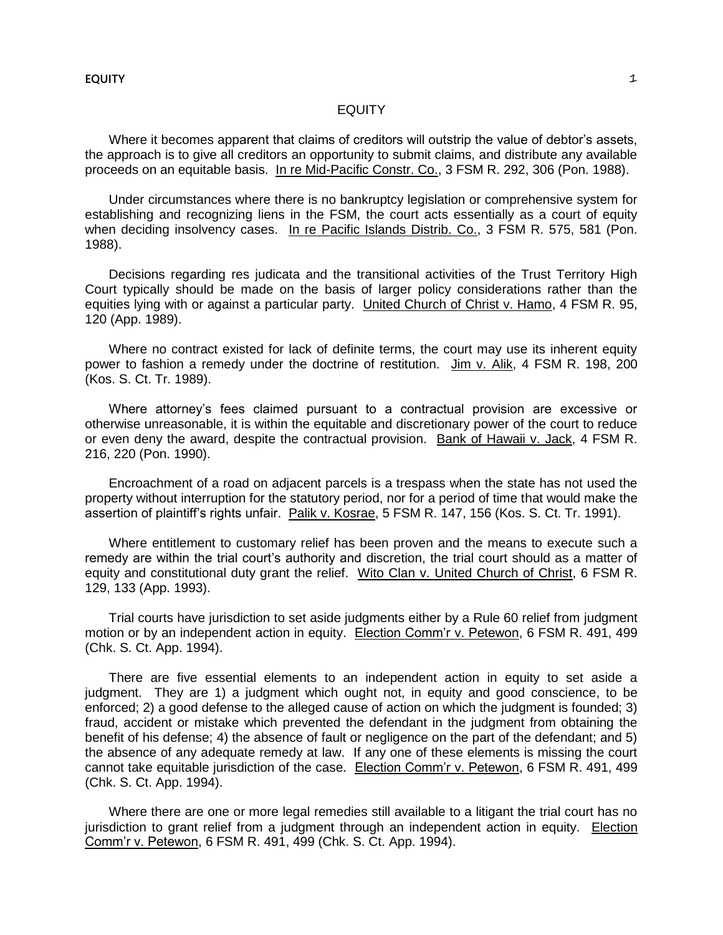# EQUITY

Where it becomes apparent that claims of creditors will outstrip the value of debtor's assets, the approach is to give all creditors an opportunity to submit claims, and distribute any available proceeds on an equitable basis. In re Mid-Pacific Constr. Co., 3 FSM R. 292, 306 (Pon. 1988).

Under circumstances where there is no bankruptcy legislation or comprehensive system for establishing and recognizing liens in the FSM, the court acts essentially as a court of equity when deciding insolvency cases. In re Pacific Islands Distrib. Co., 3 FSM R. 575, 581 (Pon. 1988).

Decisions regarding res judicata and the transitional activities of the Trust Territory High Court typically should be made on the basis of larger policy considerations rather than the equities lying with or against a particular party. United Church of Christ v. Hamo, 4 FSM R. 95, 120 (App. 1989).

Where no contract existed for lack of definite terms, the court may use its inherent equity power to fashion a remedy under the doctrine of restitution. Jim v. Alik, 4 FSM R. 198, 200 (Kos. S. Ct. Tr. 1989).

Where attorney's fees claimed pursuant to a contractual provision are excessive or otherwise unreasonable, it is within the equitable and discretionary power of the court to reduce or even deny the award, despite the contractual provision. Bank of Hawaii v. Jack, 4 FSM R. 216, 220 (Pon. 1990).

Encroachment of a road on adjacent parcels is a trespass when the state has not used the property without interruption for the statutory period, nor for a period of time that would make the assertion of plaintiff's rights unfair. Palik v. Kosrae, 5 FSM R. 147, 156 (Kos. S. Ct. Tr. 1991).

Where entitlement to customary relief has been proven and the means to execute such a remedy are within the trial court's authority and discretion, the trial court should as a matter of equity and constitutional duty grant the relief. Wito Clan v. United Church of Christ, 6 FSM R. 129, 133 (App. 1993).

Trial courts have jurisdiction to set aside judgments either by a Rule 60 relief from judgment motion or by an independent action in equity. Election Comm'r v. Petewon, 6 FSM R. 491, 499 (Chk. S. Ct. App. 1994).

There are five essential elements to an independent action in equity to set aside a judgment. They are 1) a judgment which ought not, in equity and good conscience, to be enforced; 2) a good defense to the alleged cause of action on which the judgment is founded; 3) fraud, accident or mistake which prevented the defendant in the judgment from obtaining the benefit of his defense; 4) the absence of fault or negligence on the part of the defendant; and 5) the absence of any adequate remedy at law. If any one of these elements is missing the court cannot take equitable jurisdiction of the case. Election Comm'r v. Petewon, 6 FSM R. 491, 499 (Chk. S. Ct. App. 1994).

Where there are one or more legal remedies still available to a litigant the trial court has no jurisdiction to grant relief from a judgment through an independent action in equity. Election Comm'r v. Petewon, 6 FSM R. 491, 499 (Chk. S. Ct. App. 1994).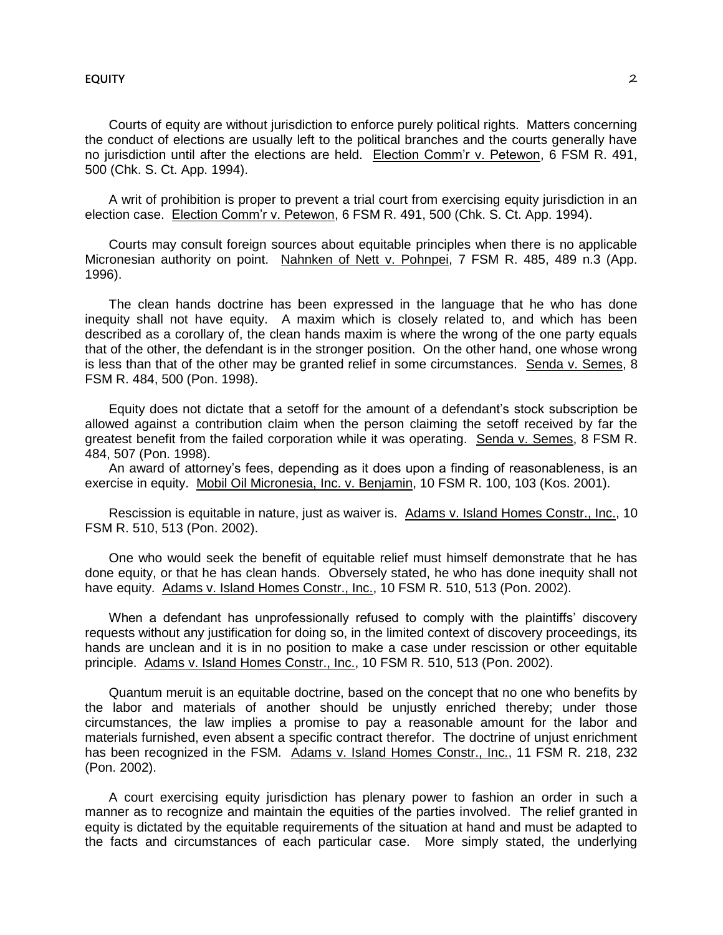Courts of equity are without jurisdiction to enforce purely political rights. Matters concerning the conduct of elections are usually left to the political branches and the courts generally have no jurisdiction until after the elections are held. Election Comm'r v. Petewon, 6 FSM R. 491, 500 (Chk. S. Ct. App. 1994).

A writ of prohibition is proper to prevent a trial court from exercising equity jurisdiction in an election case. Election Comm'r v. Petewon, 6 FSM R. 491, 500 (Chk. S. Ct. App. 1994).

Courts may consult foreign sources about equitable principles when there is no applicable Micronesian authority on point. Nahnken of Nett v. Pohnpei, 7 FSM R. 485, 489 n.3 (App. 1996).

The clean hands doctrine has been expressed in the language that he who has done inequity shall not have equity. A maxim which is closely related to, and which has been described as a corollary of, the clean hands maxim is where the wrong of the one party equals that of the other, the defendant is in the stronger position. On the other hand, one whose wrong is less than that of the other may be granted relief in some circumstances. Senda v. Semes, 8 FSM R. 484, 500 (Pon. 1998).

Equity does not dictate that a setoff for the amount of a defendant's stock subscription be allowed against a contribution claim when the person claiming the setoff received by far the greatest benefit from the failed corporation while it was operating. Senda v. Semes, 8 FSM R. 484, 507 (Pon. 1998).

An award of attorney's fees, depending as it does upon a finding of reasonableness, is an exercise in equity. Mobil Oil Micronesia, Inc. v. Benjamin, 10 FSM R. 100, 103 (Kos. 2001).

Rescission is equitable in nature, just as waiver is. Adams v. Island Homes Constr., Inc., 10 FSM R. 510, 513 (Pon. 2002).

One who would seek the benefit of equitable relief must himself demonstrate that he has done equity, or that he has clean hands. Obversely stated, he who has done inequity shall not have equity. Adams v. Island Homes Constr., Inc., 10 FSM R. 510, 513 (Pon. 2002).

When a defendant has unprofessionally refused to comply with the plaintiffs' discovery requests without any justification for doing so, in the limited context of discovery proceedings, its hands are unclean and it is in no position to make a case under rescission or other equitable principle. Adams v. Island Homes Constr., Inc., 10 FSM R. 510, 513 (Pon. 2002).

Quantum meruit is an equitable doctrine, based on the concept that no one who benefits by the labor and materials of another should be unjustly enriched thereby; under those circumstances, the law implies a promise to pay a reasonable amount for the labor and materials furnished, even absent a specific contract therefor. The doctrine of unjust enrichment has been recognized in the FSM. Adams v. Island Homes Constr., Inc., 11 FSM R. 218, 232 (Pon. 2002).

A court exercising equity jurisdiction has plenary power to fashion an order in such a manner as to recognize and maintain the equities of the parties involved. The relief granted in equity is dictated by the equitable requirements of the situation at hand and must be adapted to the facts and circumstances of each particular case. More simply stated, the underlying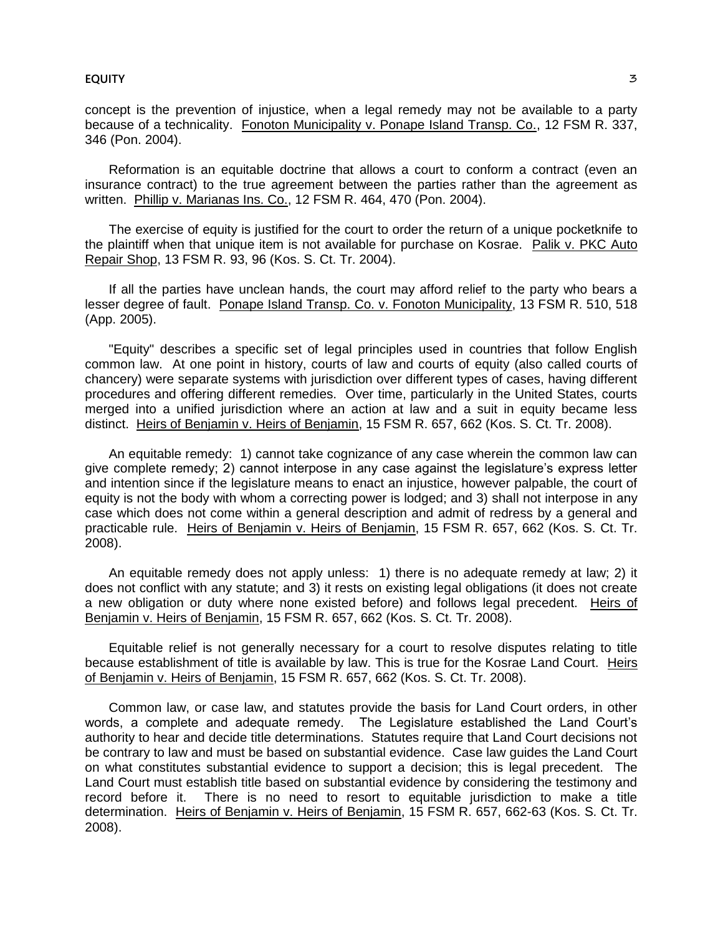concept is the prevention of injustice, when a legal remedy may not be available to a party because of a technicality. Fonoton Municipality v. Ponape Island Transp. Co., 12 FSM R. 337, 346 (Pon. 2004).

Reformation is an equitable doctrine that allows a court to conform a contract (even an insurance contract) to the true agreement between the parties rather than the agreement as written. Phillip v. Marianas Ins. Co., 12 FSM R. 464, 470 (Pon. 2004).

The exercise of equity is justified for the court to order the return of a unique pocketknife to the plaintiff when that unique item is not available for purchase on Kosrae. Palik v. PKC Auto Repair Shop, 13 FSM R. 93, 96 (Kos. S. Ct. Tr. 2004).

If all the parties have unclean hands, the court may afford relief to the party who bears a lesser degree of fault. Ponape Island Transp. Co. v. Fonoton Municipality, 13 FSM R. 510, 518 (App. 2005).

"Equity" describes a specific set of legal principles used in countries that follow English common law. At one point in history, courts of law and courts of equity (also called courts of chancery) were separate systems with jurisdiction over different types of cases, having different procedures and offering different remedies. Over time, particularly in the United States, courts merged into a unified jurisdiction where an action at law and a suit in equity became less distinct. Heirs of Benjamin v. Heirs of Benjamin, 15 FSM R. 657, 662 (Kos. S. Ct. Tr. 2008).

An equitable remedy: 1) cannot take cognizance of any case wherein the common law can give complete remedy; 2) cannot interpose in any case against the legislature's express letter and intention since if the legislature means to enact an injustice, however palpable, the court of equity is not the body with whom a correcting power is lodged; and 3) shall not interpose in any case which does not come within a general description and admit of redress by a general and practicable rule. Heirs of Benjamin v. Heirs of Benjamin, 15 FSM R. 657, 662 (Kos. S. Ct. Tr. 2008).

An equitable remedy does not apply unless: 1) there is no adequate remedy at law; 2) it does not conflict with any statute; and 3) it rests on existing legal obligations (it does not create a new obligation or duty where none existed before) and follows legal precedent. Heirs of Benjamin v. Heirs of Benjamin, 15 FSM R. 657, 662 (Kos. S. Ct. Tr. 2008).

Equitable relief is not generally necessary for a court to resolve disputes relating to title because establishment of title is available by law. This is true for the Kosrae Land Court. Heirs of Benjamin v. Heirs of Benjamin, 15 FSM R. 657, 662 (Kos. S. Ct. Tr. 2008).

Common law, or case law, and statutes provide the basis for Land Court orders, in other words, a complete and adequate remedy. The Legislature established the Land Court's authority to hear and decide title determinations. Statutes require that Land Court decisions not be contrary to law and must be based on substantial evidence. Case law guides the Land Court on what constitutes substantial evidence to support a decision; this is legal precedent. The Land Court must establish title based on substantial evidence by considering the testimony and record before it. There is no need to resort to equitable jurisdiction to make a title determination. Heirs of Benjamin v. Heirs of Benjamin, 15 FSM R. 657, 662-63 (Kos. S. Ct. Tr. 2008).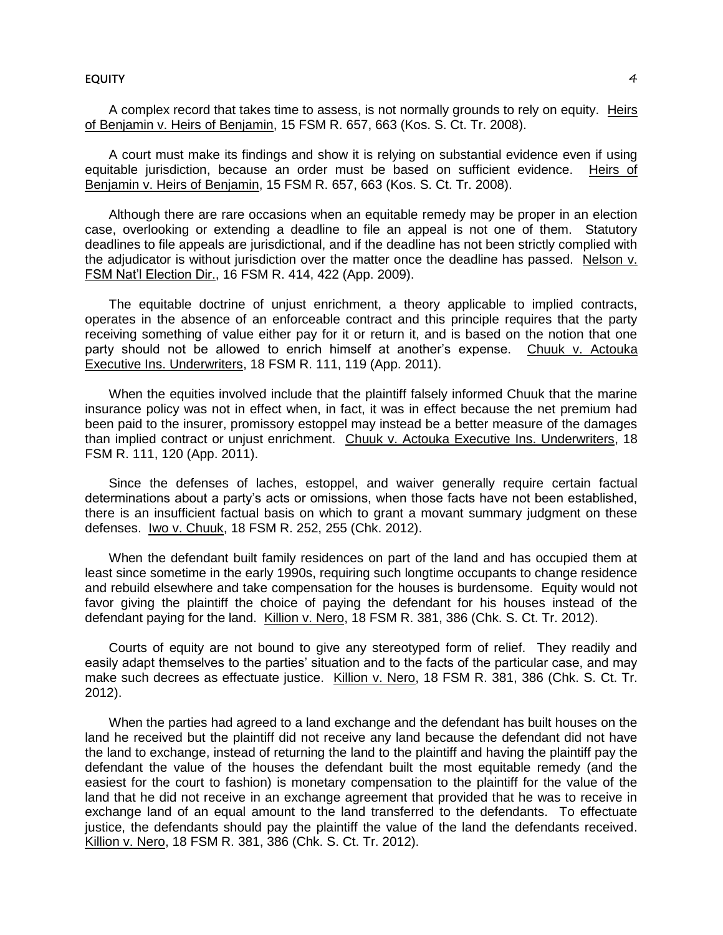#### **EQUITY** 4

A complex record that takes time to assess, is not normally grounds to rely on equity. Heirs of Benjamin v. Heirs of Benjamin, 15 FSM R. 657, 663 (Kos. S. Ct. Tr. 2008).

A court must make its findings and show it is relying on substantial evidence even if using equitable jurisdiction, because an order must be based on sufficient evidence. Heirs of Benjamin v. Heirs of Benjamin, 15 FSM R. 657, 663 (Kos. S. Ct. Tr. 2008).

Although there are rare occasions when an equitable remedy may be proper in an election case, overlooking or extending a deadline to file an appeal is not one of them. Statutory deadlines to file appeals are jurisdictional, and if the deadline has not been strictly complied with the adjudicator is without jurisdiction over the matter once the deadline has passed. Nelson v. FSM Nat'l Election Dir., 16 FSM R. 414, 422 (App. 2009).

The equitable doctrine of unjust enrichment, a theory applicable to implied contracts, operates in the absence of an enforceable contract and this principle requires that the party receiving something of value either pay for it or return it, and is based on the notion that one party should not be allowed to enrich himself at another's expense. Chuuk v. Actouka Executive Ins. Underwriters, 18 FSM R. 111, 119 (App. 2011).

When the equities involved include that the plaintiff falsely informed Chuuk that the marine insurance policy was not in effect when, in fact, it was in effect because the net premium had been paid to the insurer, promissory estoppel may instead be a better measure of the damages than implied contract or unjust enrichment. Chuuk v. Actouka Executive Ins. Underwriters, 18 FSM R. 111, 120 (App. 2011).

Since the defenses of laches, estoppel, and waiver generally require certain factual determinations about a party's acts or omissions, when those facts have not been established, there is an insufficient factual basis on which to grant a movant summary judgment on these defenses. Iwo v. Chuuk, 18 FSM R. 252, 255 (Chk. 2012).

When the defendant built family residences on part of the land and has occupied them at least since sometime in the early 1990s, requiring such longtime occupants to change residence and rebuild elsewhere and take compensation for the houses is burdensome. Equity would not favor giving the plaintiff the choice of paying the defendant for his houses instead of the defendant paying for the land. Killion v. Nero, 18 FSM R. 381, 386 (Chk. S. Ct. Tr. 2012).

Courts of equity are not bound to give any stereotyped form of relief. They readily and easily adapt themselves to the parties' situation and to the facts of the particular case, and may make such decrees as effectuate justice. Killion v. Nero, 18 FSM R. 381, 386 (Chk. S. Ct. Tr. 2012).

When the parties had agreed to a land exchange and the defendant has built houses on the land he received but the plaintiff did not receive any land because the defendant did not have the land to exchange, instead of returning the land to the plaintiff and having the plaintiff pay the defendant the value of the houses the defendant built the most equitable remedy (and the easiest for the court to fashion) is monetary compensation to the plaintiff for the value of the land that he did not receive in an exchange agreement that provided that he was to receive in exchange land of an equal amount to the land transferred to the defendants. To effectuate justice, the defendants should pay the plaintiff the value of the land the defendants received. Killion v. Nero, 18 FSM R. 381, 386 (Chk. S. Ct. Tr. 2012).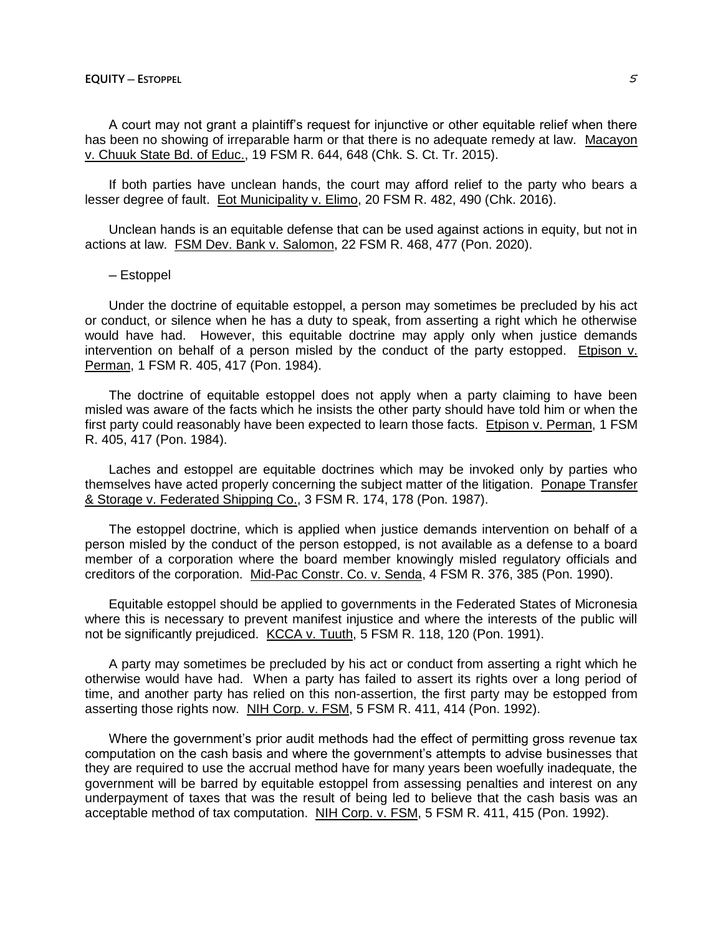A court may not grant a plaintiff's request for injunctive or other equitable relief when there has been no showing of irreparable harm or that there is no adequate remedy at law. Macayon v. Chuuk State Bd. of Educ., 19 FSM R. 644, 648 (Chk. S. Ct. Tr. 2015).

If both parties have unclean hands, the court may afford relief to the party who bears a lesser degree of fault. Eot Municipality v. Elimo, 20 FSM R. 482, 490 (Chk. 2016).

Unclean hands is an equitable defense that can be used against actions in equity, but not in actions at law. FSM Dev. Bank v. Salomon, 22 FSM R. 468, 477 (Pon. 2020).

# ─ Estoppel

Under the doctrine of equitable estoppel, a person may sometimes be precluded by his act or conduct, or silence when he has a duty to speak, from asserting a right which he otherwise would have had. However, this equitable doctrine may apply only when justice demands intervention on behalf of a person misled by the conduct of the party estopped. Etpison  $v$ . Perman, 1 FSM R. 405, 417 (Pon. 1984).

The doctrine of equitable estoppel does not apply when a party claiming to have been misled was aware of the facts which he insists the other party should have told him or when the first party could reasonably have been expected to learn those facts. Etpison v. Perman, 1 FSM R. 405, 417 (Pon. 1984).

Laches and estoppel are equitable doctrines which may be invoked only by parties who themselves have acted properly concerning the subject matter of the litigation. Ponape Transfer & Storage v. Federated Shipping Co., 3 FSM R. 174, 178 (Pon. 1987).

The estoppel doctrine, which is applied when justice demands intervention on behalf of a person misled by the conduct of the person estopped, is not available as a defense to a board member of a corporation where the board member knowingly misled regulatory officials and creditors of the corporation. Mid-Pac Constr. Co. v. Senda, 4 FSM R. 376, 385 (Pon. 1990).

Equitable estoppel should be applied to governments in the Federated States of Micronesia where this is necessary to prevent manifest injustice and where the interests of the public will not be significantly prejudiced. KCCA v. Tuuth, 5 FSM R. 118, 120 (Pon. 1991).

A party may sometimes be precluded by his act or conduct from asserting a right which he otherwise would have had. When a party has failed to assert its rights over a long period of time, and another party has relied on this non-assertion, the first party may be estopped from asserting those rights now. NIH Corp. v. FSM, 5 FSM R. 411, 414 (Pon. 1992).

Where the government's prior audit methods had the effect of permitting gross revenue tax computation on the cash basis and where the government's attempts to advise businesses that they are required to use the accrual method have for many years been woefully inadequate, the government will be barred by equitable estoppel from assessing penalties and interest on any underpayment of taxes that was the result of being led to believe that the cash basis was an acceptable method of tax computation. NIH Corp. v. FSM, 5 FSM R. 411, 415 (Pon. 1992).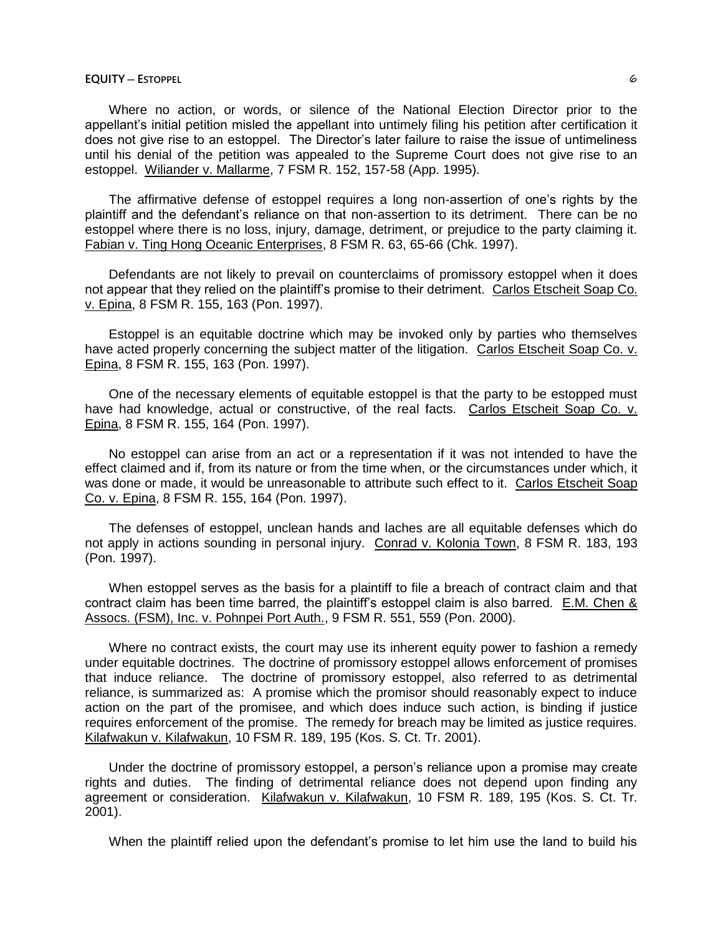Where no action, or words, or silence of the National Election Director prior to the appellant's initial petition misled the appellant into untimely filing his petition after certification it does not give rise to an estoppel. The Director's later failure to raise the issue of untimeliness until his denial of the petition was appealed to the Supreme Court does not give rise to an estoppel. Wiliander v. Mallarme, 7 FSM R. 152, 157-58 (App. 1995).

The affirmative defense of estoppel requires a long non-assertion of one's rights by the plaintiff and the defendant's reliance on that non-assertion to its detriment. There can be no estoppel where there is no loss, injury, damage, detriment, or prejudice to the party claiming it. Fabian v. Ting Hong Oceanic Enterprises, 8 FSM R. 63, 65-66 (Chk. 1997).

Defendants are not likely to prevail on counterclaims of promissory estoppel when it does not appear that they relied on the plaintiff's promise to their detriment. Carlos Etscheit Soap Co. v. Epina, 8 FSM R. 155, 163 (Pon. 1997).

Estoppel is an equitable doctrine which may be invoked only by parties who themselves have acted properly concerning the subject matter of the litigation. Carlos Etscheit Soap Co. v. Epina, 8 FSM R. 155, 163 (Pon. 1997).

One of the necessary elements of equitable estoppel is that the party to be estopped must have had knowledge, actual or constructive, of the real facts. Carlos Etscheit Soap Co. v. Epina, 8 FSM R. 155, 164 (Pon. 1997).

No estoppel can arise from an act or a representation if it was not intended to have the effect claimed and if, from its nature or from the time when, or the circumstances under which, it was done or made, it would be unreasonable to attribute such effect to it. Carlos Etscheit Soap Co. v. Epina, 8 FSM R. 155, 164 (Pon. 1997).

The defenses of estoppel, unclean hands and laches are all equitable defenses which do not apply in actions sounding in personal injury. Conrad v. Kolonia Town, 8 FSM R. 183, 193 (Pon. 1997).

When estoppel serves as the basis for a plaintiff to file a breach of contract claim and that contract claim has been time barred, the plaintiff's estoppel claim is also barred. E.M. Chen & Assocs. (FSM), Inc. v. Pohnpei Port Auth., 9 FSM R. 551, 559 (Pon. 2000).

Where no contract exists, the court may use its inherent equity power to fashion a remedy under equitable doctrines. The doctrine of promissory estoppel allows enforcement of promises that induce reliance. The doctrine of promissory estoppel, also referred to as detrimental reliance, is summarized as: A promise which the promisor should reasonably expect to induce action on the part of the promisee, and which does induce such action, is binding if justice requires enforcement of the promise. The remedy for breach may be limited as justice requires. Kilafwakun v. Kilafwakun, 10 FSM R. 189, 195 (Kos. S. Ct. Tr. 2001).

Under the doctrine of promissory estoppel, a person's reliance upon a promise may create rights and duties. The finding of detrimental reliance does not depend upon finding any agreement or consideration. Kilafwakun v. Kilafwakun, 10 FSM R. 189, 195 (Kos. S. Ct. Tr. 2001).

When the plaintiff relied upon the defendant's promise to let him use the land to build his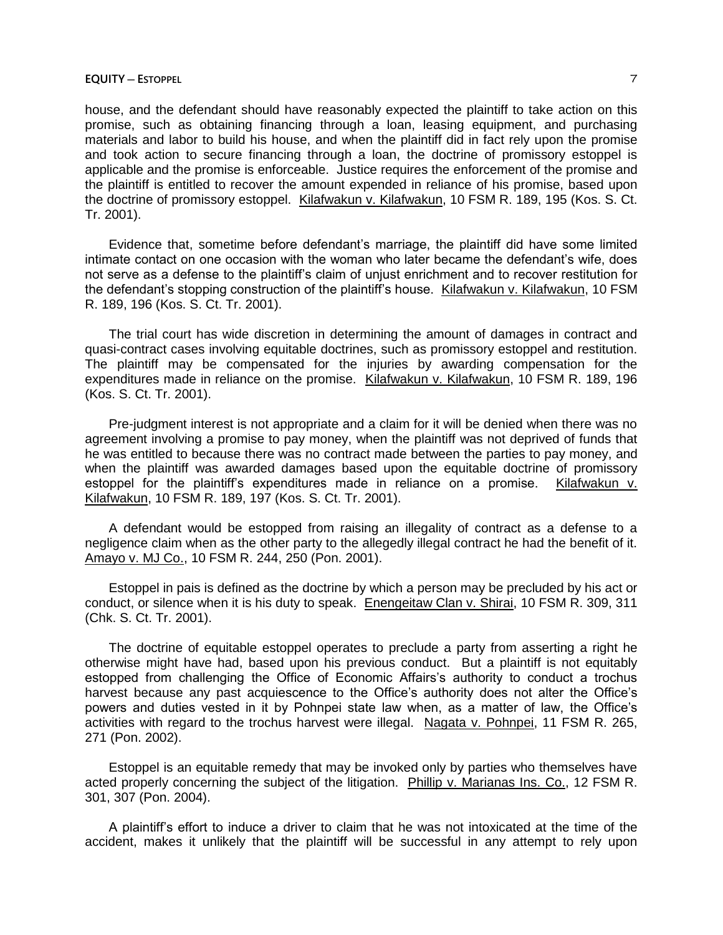house, and the defendant should have reasonably expected the plaintiff to take action on this promise, such as obtaining financing through a loan, leasing equipment, and purchasing materials and labor to build his house, and when the plaintiff did in fact rely upon the promise and took action to secure financing through a loan, the doctrine of promissory estoppel is applicable and the promise is enforceable. Justice requires the enforcement of the promise and the plaintiff is entitled to recover the amount expended in reliance of his promise, based upon the doctrine of promissory estoppel. Kilafwakun v. Kilafwakun, 10 FSM R. 189, 195 (Kos. S. Ct. Tr. 2001).

Evidence that, sometime before defendant's marriage, the plaintiff did have some limited intimate contact on one occasion with the woman who later became the defendant's wife, does not serve as a defense to the plaintiff's claim of unjust enrichment and to recover restitution for the defendant's stopping construction of the plaintiff's house. Kilafwakun v. Kilafwakun, 10 FSM R. 189, 196 (Kos. S. Ct. Tr. 2001).

The trial court has wide discretion in determining the amount of damages in contract and quasi-contract cases involving equitable doctrines, such as promissory estoppel and restitution. The plaintiff may be compensated for the injuries by awarding compensation for the expenditures made in reliance on the promise. Kilafwakun v. Kilafwakun, 10 FSM R. 189, 196 (Kos. S. Ct. Tr. 2001).

Pre-judgment interest is not appropriate and a claim for it will be denied when there was no agreement involving a promise to pay money, when the plaintiff was not deprived of funds that he was entitled to because there was no contract made between the parties to pay money, and when the plaintiff was awarded damages based upon the equitable doctrine of promissory estoppel for the plaintiff's expenditures made in reliance on a promise. Kilafwakun v. Kilafwakun, 10 FSM R. 189, 197 (Kos. S. Ct. Tr. 2001).

A defendant would be estopped from raising an illegality of contract as a defense to a negligence claim when as the other party to the allegedly illegal contract he had the benefit of it. Amayo v. MJ Co., 10 FSM R. 244, 250 (Pon. 2001).

Estoppel in pais is defined as the doctrine by which a person may be precluded by his act or conduct, or silence when it is his duty to speak. Enengeitaw Clan v. Shirai, 10 FSM R. 309, 311 (Chk. S. Ct. Tr. 2001).

The doctrine of equitable estoppel operates to preclude a party from asserting a right he otherwise might have had, based upon his previous conduct. But a plaintiff is not equitably estopped from challenging the Office of Economic Affairs's authority to conduct a trochus harvest because any past acquiescence to the Office's authority does not alter the Office's powers and duties vested in it by Pohnpei state law when, as a matter of law, the Office's activities with regard to the trochus harvest were illegal. Nagata v. Pohnpei, 11 FSM R. 265, 271 (Pon. 2002).

Estoppel is an equitable remedy that may be invoked only by parties who themselves have acted properly concerning the subject of the litigation. Phillip v. Marianas Ins. Co., 12 FSM R. 301, 307 (Pon. 2004).

A plaintiff's effort to induce a driver to claim that he was not intoxicated at the time of the accident, makes it unlikely that the plaintiff will be successful in any attempt to rely upon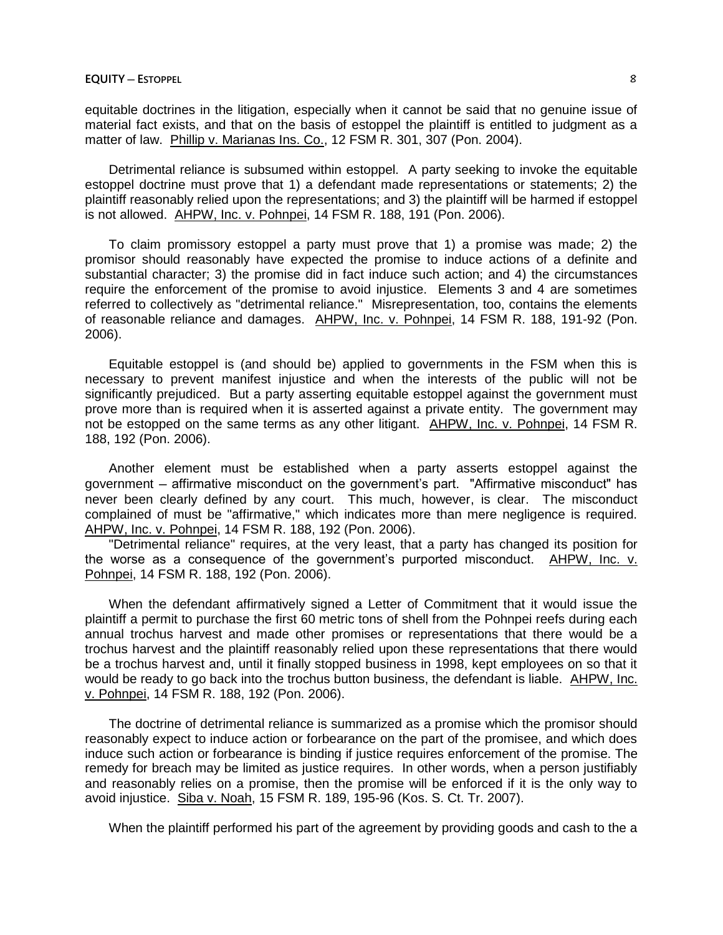equitable doctrines in the litigation, especially when it cannot be said that no genuine issue of material fact exists, and that on the basis of estoppel the plaintiff is entitled to judgment as a matter of law. Phillip v. Marianas Ins. Co., 12 FSM R. 301, 307 (Pon. 2004).

Detrimental reliance is subsumed within estoppel. A party seeking to invoke the equitable estoppel doctrine must prove that 1) a defendant made representations or statements; 2) the plaintiff reasonably relied upon the representations; and 3) the plaintiff will be harmed if estoppel is not allowed. AHPW, Inc. v. Pohnpei, 14 FSM R. 188, 191 (Pon. 2006).

To claim promissory estoppel a party must prove that 1) a promise was made; 2) the promisor should reasonably have expected the promise to induce actions of a definite and substantial character; 3) the promise did in fact induce such action; and 4) the circumstances require the enforcement of the promise to avoid injustice. Elements 3 and 4 are sometimes referred to collectively as "detrimental reliance." Misrepresentation, too, contains the elements of reasonable reliance and damages. AHPW, Inc. v. Pohnpei, 14 FSM R. 188, 191-92 (Pon. 2006).

Equitable estoppel is (and should be) applied to governments in the FSM when this is necessary to prevent manifest injustice and when the interests of the public will not be significantly prejudiced. But a party asserting equitable estoppel against the government must prove more than is required when it is asserted against a private entity. The government may not be estopped on the same terms as any other litigant. AHPW, Inc. v. Pohnpei, 14 FSM R. 188, 192 (Pon. 2006).

Another element must be established when a party asserts estoppel against the government ─ affirmative misconduct on the government's part. "Affirmative misconduct" has never been clearly defined by any court. This much, however, is clear. The misconduct complained of must be "affirmative," which indicates more than mere negligence is required. AHPW, Inc. v. Pohnpei, 14 FSM R. 188, 192 (Pon. 2006).

"Detrimental reliance" requires, at the very least, that a party has changed its position for the worse as a consequence of the government's purported misconduct. AHPW, Inc. v. Pohnpei, 14 FSM R. 188, 192 (Pon. 2006).

When the defendant affirmatively signed a Letter of Commitment that it would issue the plaintiff a permit to purchase the first 60 metric tons of shell from the Pohnpei reefs during each annual trochus harvest and made other promises or representations that there would be a trochus harvest and the plaintiff reasonably relied upon these representations that there would be a trochus harvest and, until it finally stopped business in 1998, kept employees on so that it would be ready to go back into the trochus button business, the defendant is liable. AHPW, Inc. v. Pohnpei, 14 FSM R. 188, 192 (Pon. 2006).

The doctrine of detrimental reliance is summarized as a promise which the promisor should reasonably expect to induce action or forbearance on the part of the promisee, and which does induce such action or forbearance is binding if justice requires enforcement of the promise. The remedy for breach may be limited as justice requires. In other words, when a person justifiably and reasonably relies on a promise, then the promise will be enforced if it is the only way to avoid injustice. Siba v. Noah, 15 FSM R. 189, 195-96 (Kos. S. Ct. Tr. 2007).

When the plaintiff performed his part of the agreement by providing goods and cash to the a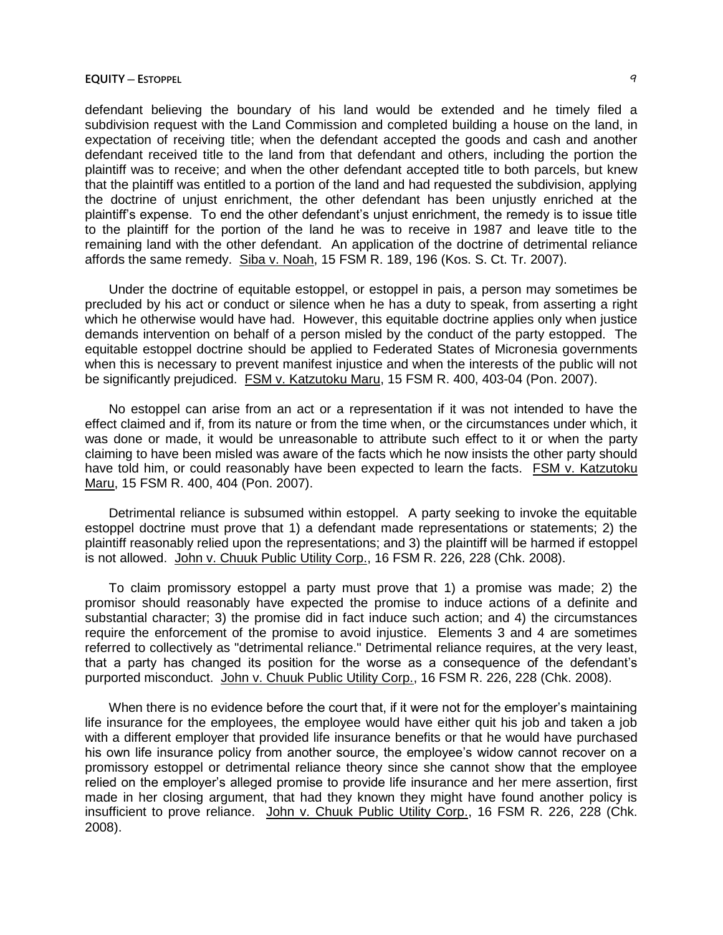defendant believing the boundary of his land would be extended and he timely filed a subdivision request with the Land Commission and completed building a house on the land, in expectation of receiving title; when the defendant accepted the goods and cash and another defendant received title to the land from that defendant and others, including the portion the plaintiff was to receive; and when the other defendant accepted title to both parcels, but knew that the plaintiff was entitled to a portion of the land and had requested the subdivision, applying the doctrine of unjust enrichment, the other defendant has been unjustly enriched at the plaintiff's expense. To end the other defendant's unjust enrichment, the remedy is to issue title to the plaintiff for the portion of the land he was to receive in 1987 and leave title to the remaining land with the other defendant. An application of the doctrine of detrimental reliance affords the same remedy. Siba v. Noah, 15 FSM R. 189, 196 (Kos. S. Ct. Tr. 2007).

Under the doctrine of equitable estoppel, or estoppel in pais, a person may sometimes be precluded by his act or conduct or silence when he has a duty to speak, from asserting a right which he otherwise would have had. However, this equitable doctrine applies only when justice demands intervention on behalf of a person misled by the conduct of the party estopped. The equitable estoppel doctrine should be applied to Federated States of Micronesia governments when this is necessary to prevent manifest injustice and when the interests of the public will not be significantly prejudiced. FSM v. Katzutoku Maru, 15 FSM R. 400, 403-04 (Pon. 2007).

No estoppel can arise from an act or a representation if it was not intended to have the effect claimed and if, from its nature or from the time when, or the circumstances under which, it was done or made, it would be unreasonable to attribute such effect to it or when the party claiming to have been misled was aware of the facts which he now insists the other party should have told him, or could reasonably have been expected to learn the facts. FSM v. Katzutoku Maru, 15 FSM R. 400, 404 (Pon. 2007).

Detrimental reliance is subsumed within estoppel. A party seeking to invoke the equitable estoppel doctrine must prove that 1) a defendant made representations or statements; 2) the plaintiff reasonably relied upon the representations; and 3) the plaintiff will be harmed if estoppel is not allowed. John v. Chuuk Public Utility Corp., 16 FSM R. 226, 228 (Chk. 2008).

To claim promissory estoppel a party must prove that 1) a promise was made; 2) the promisor should reasonably have expected the promise to induce actions of a definite and substantial character; 3) the promise did in fact induce such action; and 4) the circumstances require the enforcement of the promise to avoid injustice. Elements 3 and 4 are sometimes referred to collectively as "detrimental reliance." Detrimental reliance requires, at the very least, that a party has changed its position for the worse as a consequence of the defendant's purported misconduct. John v. Chuuk Public Utility Corp., 16 FSM R. 226, 228 (Chk. 2008).

When there is no evidence before the court that, if it were not for the employer's maintaining life insurance for the employees, the employee would have either quit his job and taken a job with a different employer that provided life insurance benefits or that he would have purchased his own life insurance policy from another source, the employee's widow cannot recover on a promissory estoppel or detrimental reliance theory since she cannot show that the employee relied on the employer's alleged promise to provide life insurance and her mere assertion, first made in her closing argument, that had they known they might have found another policy is insufficient to prove reliance. John v. Chuuk Public Utility Corp., 16 FSM R. 226, 228 (Chk. 2008).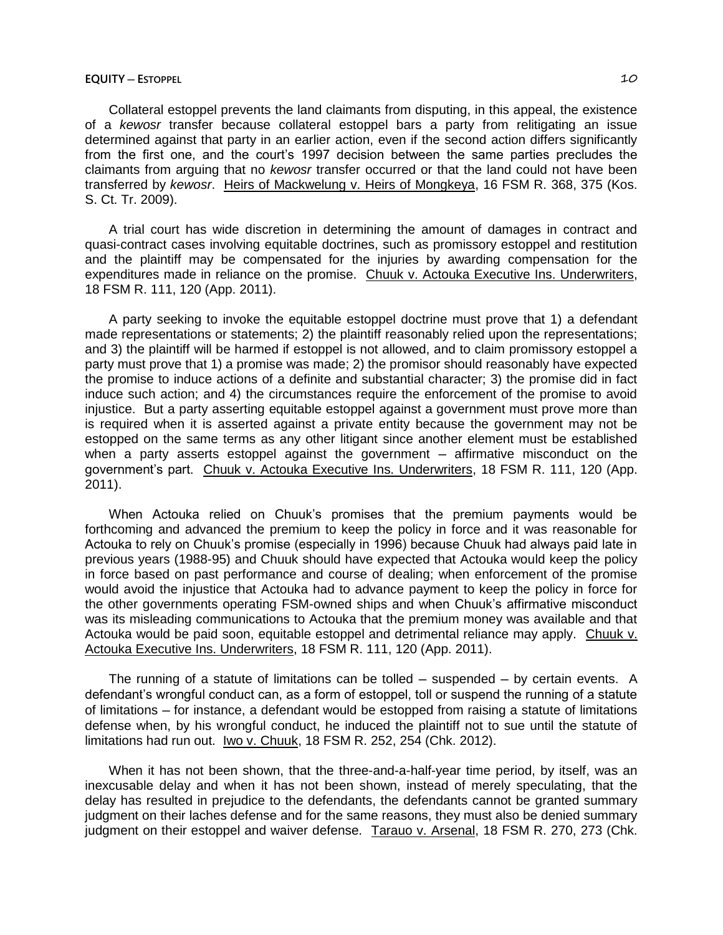Collateral estoppel prevents the land claimants from disputing, in this appeal, the existence of a *kewosr* transfer because collateral estoppel bars a party from relitigating an issue determined against that party in an earlier action, even if the second action differs significantly from the first one, and the court's 1997 decision between the same parties precludes the claimants from arguing that no *kewosr* transfer occurred or that the land could not have been transferred by *kewosr*. Heirs of Mackwelung v. Heirs of Mongkeya, 16 FSM R. 368, 375 (Kos. S. Ct. Tr. 2009).

A trial court has wide discretion in determining the amount of damages in contract and quasi-contract cases involving equitable doctrines, such as promissory estoppel and restitution and the plaintiff may be compensated for the injuries by awarding compensation for the expenditures made in reliance on the promise. Chuuk v. Actouka Executive Ins. Underwriters, 18 FSM R. 111, 120 (App. 2011).

A party seeking to invoke the equitable estoppel doctrine must prove that 1) a defendant made representations or statements; 2) the plaintiff reasonably relied upon the representations; and 3) the plaintiff will be harmed if estoppel is not allowed, and to claim promissory estoppel a party must prove that 1) a promise was made; 2) the promisor should reasonably have expected the promise to induce actions of a definite and substantial character; 3) the promise did in fact induce such action; and 4) the circumstances require the enforcement of the promise to avoid injustice. But a party asserting equitable estoppel against a government must prove more than is required when it is asserted against a private entity because the government may not be estopped on the same terms as any other litigant since another element must be established when a party asserts estoppel against the government - affirmative misconduct on the government's part. Chuuk v. Actouka Executive Ins. Underwriters, 18 FSM R. 111, 120 (App. 2011).

When Actouka relied on Chuuk's promises that the premium payments would be forthcoming and advanced the premium to keep the policy in force and it was reasonable for Actouka to rely on Chuuk's promise (especially in 1996) because Chuuk had always paid late in previous years (1988-95) and Chuuk should have expected that Actouka would keep the policy in force based on past performance and course of dealing; when enforcement of the promise would avoid the injustice that Actouka had to advance payment to keep the policy in force for the other governments operating FSM-owned ships and when Chuuk's affirmative misconduct was its misleading communications to Actouka that the premium money was available and that Actouka would be paid soon, equitable estoppel and detrimental reliance may apply. Chuuk v. Actouka Executive Ins. Underwriters, 18 FSM R. 111, 120 (App. 2011).

The running of a statute of limitations can be tolled — suspended — by certain events. A defendant's wrongful conduct can, as a form of estoppel, toll or suspend the running of a statute of limitations ─ for instance, a defendant would be estopped from raising a statute of limitations defense when, by his wrongful conduct, he induced the plaintiff not to sue until the statute of limitations had run out. Iwo v. Chuuk, 18 FSM R. 252, 254 (Chk. 2012).

When it has not been shown, that the three-and-a-half-year time period, by itself, was an inexcusable delay and when it has not been shown, instead of merely speculating, that the delay has resulted in prejudice to the defendants, the defendants cannot be granted summary judgment on their laches defense and for the same reasons, they must also be denied summary judgment on their estoppel and waiver defense. Tarauo v. Arsenal, 18 FSM R. 270, 273 (Chk.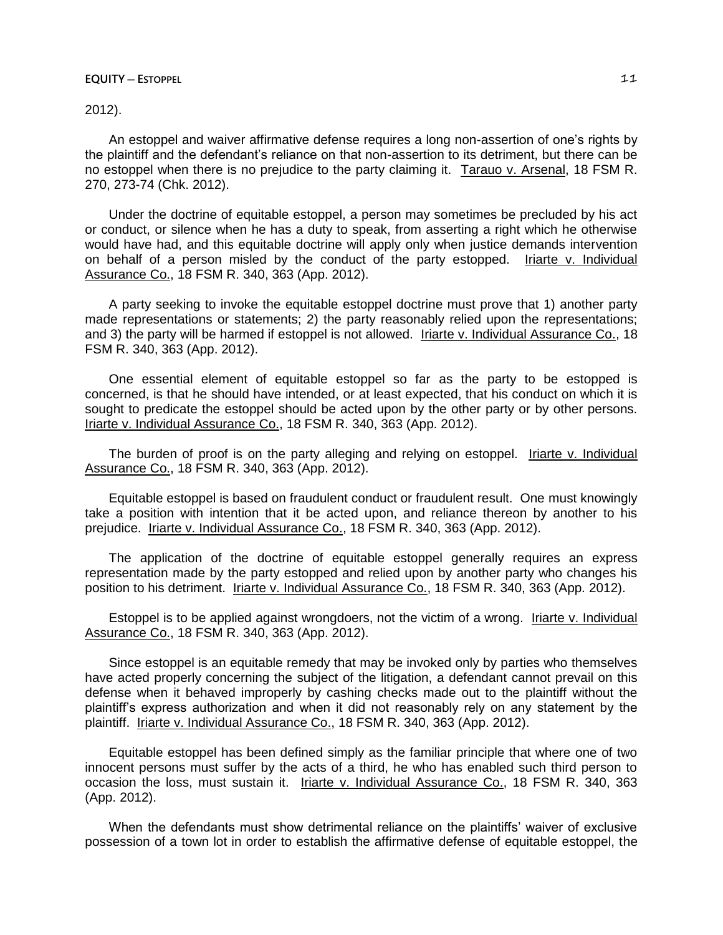2012).

An estoppel and waiver affirmative defense requires a long non-assertion of one's rights by the plaintiff and the defendant's reliance on that non-assertion to its detriment, but there can be no estoppel when there is no prejudice to the party claiming it. Tarauo v. Arsenal, 18 FSM R. 270, 273-74 (Chk. 2012).

Under the doctrine of equitable estoppel, a person may sometimes be precluded by his act or conduct, or silence when he has a duty to speak, from asserting a right which he otherwise would have had, and this equitable doctrine will apply only when justice demands intervention on behalf of a person misled by the conduct of the party estopped. Iriarte v. Individual Assurance Co., 18 FSM R. 340, 363 (App. 2012).

A party seeking to invoke the equitable estoppel doctrine must prove that 1) another party made representations or statements; 2) the party reasonably relied upon the representations; and 3) the party will be harmed if estoppel is not allowed. Iriarte v. Individual Assurance Co., 18 FSM R. 340, 363 (App. 2012).

One essential element of equitable estoppel so far as the party to be estopped is concerned, is that he should have intended, or at least expected, that his conduct on which it is sought to predicate the estoppel should be acted upon by the other party or by other persons. Iriarte v. Individual Assurance Co., 18 FSM R. 340, 363 (App. 2012).

The burden of proof is on the party alleging and relying on estoppel. Iriarte v. Individual Assurance Co., 18 FSM R. 340, 363 (App. 2012).

Equitable estoppel is based on fraudulent conduct or fraudulent result. One must knowingly take a position with intention that it be acted upon, and reliance thereon by another to his prejudice. Iriarte v. Individual Assurance Co., 18 FSM R. 340, 363 (App. 2012).

The application of the doctrine of equitable estoppel generally requires an express representation made by the party estopped and relied upon by another party who changes his position to his detriment. Iriarte v. Individual Assurance Co., 18 FSM R. 340, 363 (App. 2012).

Estoppel is to be applied against wrongdoers, not the victim of a wrong. Iriarte v. Individual Assurance Co., 18 FSM R. 340, 363 (App. 2012).

Since estoppel is an equitable remedy that may be invoked only by parties who themselves have acted properly concerning the subject of the litigation, a defendant cannot prevail on this defense when it behaved improperly by cashing checks made out to the plaintiff without the plaintiff's express authorization and when it did not reasonably rely on any statement by the plaintiff. Iriarte v. Individual Assurance Co., 18 FSM R. 340, 363 (App. 2012).

Equitable estoppel has been defined simply as the familiar principle that where one of two innocent persons must suffer by the acts of a third, he who has enabled such third person to occasion the loss, must sustain it. Iriarte v. Individual Assurance Co., 18 FSM R. 340, 363 (App. 2012).

When the defendants must show detrimental reliance on the plaintiffs' waiver of exclusive possession of a town lot in order to establish the affirmative defense of equitable estoppel, the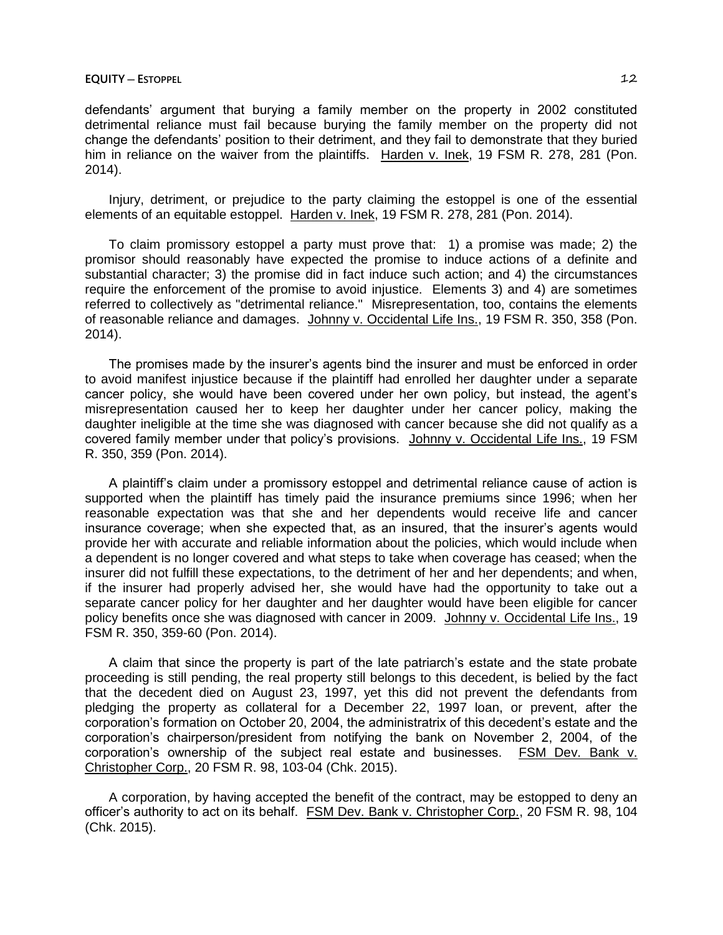defendants' argument that burying a family member on the property in 2002 constituted detrimental reliance must fail because burying the family member on the property did not change the defendants' position to their detriment, and they fail to demonstrate that they buried him in reliance on the waiver from the plaintiffs. Harden v. Inek, 19 FSM R. 278, 281 (Pon. 2014).

Injury, detriment, or prejudice to the party claiming the estoppel is one of the essential elements of an equitable estoppel. Harden v. Inek, 19 FSM R. 278, 281 (Pon. 2014).

To claim promissory estoppel a party must prove that: 1) a promise was made; 2) the promisor should reasonably have expected the promise to induce actions of a definite and substantial character; 3) the promise did in fact induce such action; and 4) the circumstances require the enforcement of the promise to avoid injustice. Elements 3) and 4) are sometimes referred to collectively as "detrimental reliance." Misrepresentation, too, contains the elements of reasonable reliance and damages. Johnny v. Occidental Life Ins., 19 FSM R. 350, 358 (Pon. 2014).

The promises made by the insurer's agents bind the insurer and must be enforced in order to avoid manifest injustice because if the plaintiff had enrolled her daughter under a separate cancer policy, she would have been covered under her own policy, but instead, the agent's misrepresentation caused her to keep her daughter under her cancer policy, making the daughter ineligible at the time she was diagnosed with cancer because she did not qualify as a covered family member under that policy's provisions. Johnny v. Occidental Life Ins., 19 FSM R. 350, 359 (Pon. 2014).

A plaintiff's claim under a promissory estoppel and detrimental reliance cause of action is supported when the plaintiff has timely paid the insurance premiums since 1996; when her reasonable expectation was that she and her dependents would receive life and cancer insurance coverage; when she expected that, as an insured, that the insurer's agents would provide her with accurate and reliable information about the policies, which would include when a dependent is no longer covered and what steps to take when coverage has ceased; when the insurer did not fulfill these expectations, to the detriment of her and her dependents; and when, if the insurer had properly advised her, she would have had the opportunity to take out a separate cancer policy for her daughter and her daughter would have been eligible for cancer policy benefits once she was diagnosed with cancer in 2009. Johnny v. Occidental Life Ins., 19 FSM R. 350, 359-60 (Pon. 2014).

A claim that since the property is part of the late patriarch's estate and the state probate proceeding is still pending, the real property still belongs to this decedent, is belied by the fact that the decedent died on August 23, 1997, yet this did not prevent the defendants from pledging the property as collateral for a December 22, 1997 loan, or prevent, after the corporation's formation on October 20, 2004, the administratrix of this decedent's estate and the corporation's chairperson/president from notifying the bank on November 2, 2004, of the corporation's ownership of the subject real estate and businesses. FSM Dev. Bank v. Christopher Corp., 20 FSM R. 98, 103-04 (Chk. 2015).

A corporation, by having accepted the benefit of the contract, may be estopped to deny an officer's authority to act on its behalf. FSM Dev. Bank v. Christopher Corp., 20 FSM R. 98, 104 (Chk. 2015).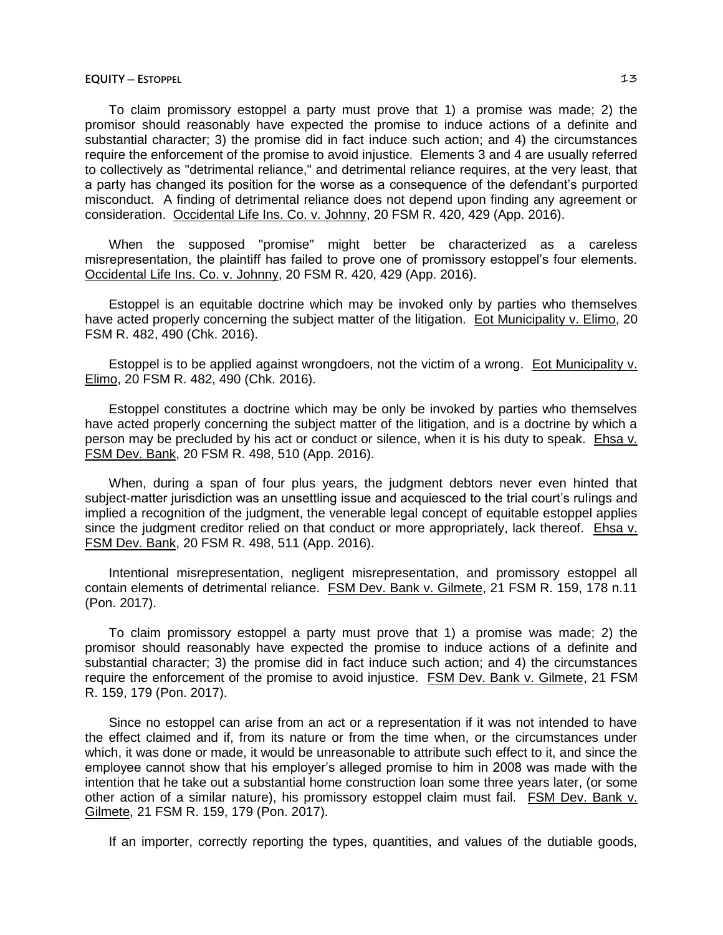To claim promissory estoppel a party must prove that 1) a promise was made; 2) the promisor should reasonably have expected the promise to induce actions of a definite and substantial character; 3) the promise did in fact induce such action; and 4) the circumstances require the enforcement of the promise to avoid injustice. Elements 3 and 4 are usually referred to collectively as "detrimental reliance," and detrimental reliance requires, at the very least, that a party has changed its position for the worse as a consequence of the defendant's purported misconduct. A finding of detrimental reliance does not depend upon finding any agreement or consideration. Occidental Life Ins. Co. v. Johnny, 20 FSM R. 420, 429 (App. 2016).

When the supposed "promise" might better be characterized as a careless misrepresentation, the plaintiff has failed to prove one of promissory estoppel's four elements. Occidental Life Ins. Co. v. Johnny, 20 FSM R. 420, 429 (App. 2016).

Estoppel is an equitable doctrine which may be invoked only by parties who themselves have acted properly concerning the subject matter of the litigation. Eot Municipality v. Elimo, 20 FSM R. 482, 490 (Chk. 2016).

Estoppel is to be applied against wrongdoers, not the victim of a wrong. Eot Municipality v. Elimo, 20 FSM R. 482, 490 (Chk. 2016).

Estoppel constitutes a doctrine which may be only be invoked by parties who themselves have acted properly concerning the subject matter of the litigation, and is a doctrine by which a person may be precluded by his act or conduct or silence, when it is his duty to speak. Ehsa v. FSM Dev. Bank, 20 FSM R. 498, 510 (App. 2016).

When, during a span of four plus years, the judgment debtors never even hinted that subject-matter jurisdiction was an unsettling issue and acquiesced to the trial court's rulings and implied a recognition of the judgment, the venerable legal concept of equitable estoppel applies since the judgment creditor relied on that conduct or more appropriately, lack thereof. Ehsa v. FSM Dev. Bank, 20 FSM R. 498, 511 (App. 2016).

Intentional misrepresentation, negligent misrepresentation, and promissory estoppel all contain elements of detrimental reliance. FSM Dev. Bank v. Gilmete, 21 FSM R. 159, 178 n.11 (Pon. 2017).

To claim promissory estoppel a party must prove that 1) a promise was made; 2) the promisor should reasonably have expected the promise to induce actions of a definite and substantial character; 3) the promise did in fact induce such action; and 4) the circumstances require the enforcement of the promise to avoid injustice. FSM Dev. Bank v. Gilmete, 21 FSM R. 159, 179 (Pon. 2017).

Since no estoppel can arise from an act or a representation if it was not intended to have the effect claimed and if, from its nature or from the time when, or the circumstances under which, it was done or made, it would be unreasonable to attribute such effect to it, and since the employee cannot show that his employer's alleged promise to him in 2008 was made with the intention that he take out a substantial home construction loan some three years later, (or some other action of a similar nature), his promissory estoppel claim must fail. FSM Dev. Bank v. Gilmete, 21 FSM R. 159, 179 (Pon. 2017).

If an importer, correctly reporting the types, quantities, and values of the dutiable goods,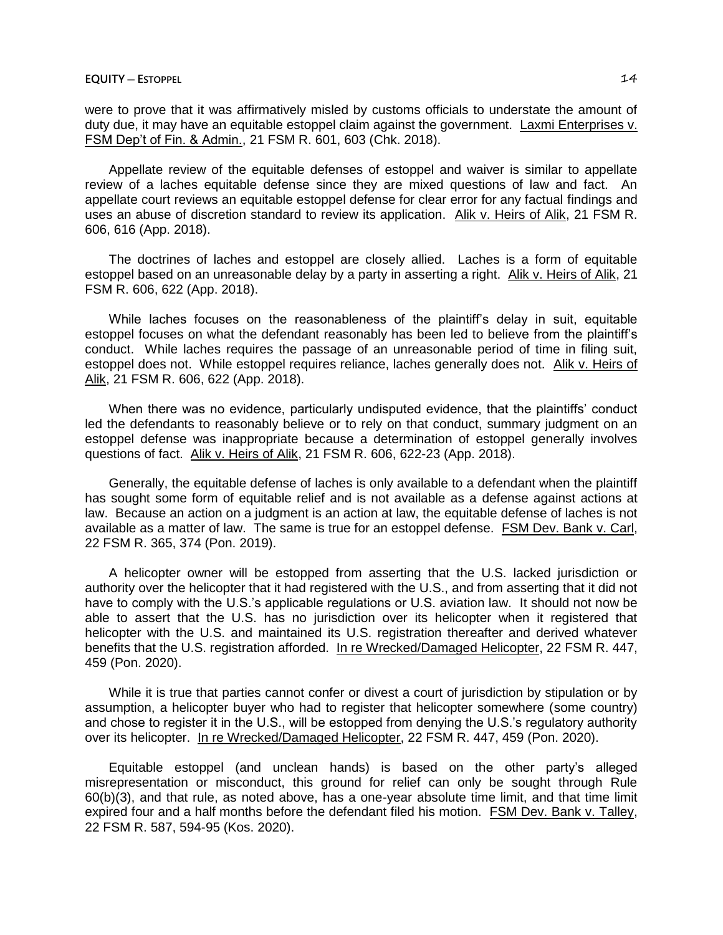were to prove that it was affirmatively misled by customs officials to understate the amount of duty due, it may have an equitable estoppel claim against the government. Laxmi Enterprises v. FSM Dep't of Fin. & Admin., 21 FSM R. 601, 603 (Chk. 2018).

Appellate review of the equitable defenses of estoppel and waiver is similar to appellate review of a laches equitable defense since they are mixed questions of law and fact. An appellate court reviews an equitable estoppel defense for clear error for any factual findings and uses an abuse of discretion standard to review its application. Alik v. Heirs of Alik, 21 FSM R. 606, 616 (App. 2018).

The doctrines of laches and estoppel are closely allied. Laches is a form of equitable estoppel based on an unreasonable delay by a party in asserting a right. Alik v. Heirs of Alik, 21 FSM R. 606, 622 (App. 2018).

While laches focuses on the reasonableness of the plaintiff's delay in suit, equitable estoppel focuses on what the defendant reasonably has been led to believe from the plaintiff's conduct. While laches requires the passage of an unreasonable period of time in filing suit, estoppel does not. While estoppel requires reliance, laches generally does not. Alik v. Heirs of Alik, 21 FSM R. 606, 622 (App. 2018).

When there was no evidence, particularly undisputed evidence, that the plaintiffs' conduct led the defendants to reasonably believe or to rely on that conduct, summary judgment on an estoppel defense was inappropriate because a determination of estoppel generally involves questions of fact. Alik v. Heirs of Alik, 21 FSM R. 606, 622-23 (App. 2018).

Generally, the equitable defense of laches is only available to a defendant when the plaintiff has sought some form of equitable relief and is not available as a defense against actions at law. Because an action on a judgment is an action at law, the equitable defense of laches is not available as a matter of law. The same is true for an estoppel defense. FSM Dev. Bank v. Carl, 22 FSM R. 365, 374 (Pon. 2019).

A helicopter owner will be estopped from asserting that the U.S. lacked jurisdiction or authority over the helicopter that it had registered with the U.S., and from asserting that it did not have to comply with the U.S.'s applicable regulations or U.S. aviation law. It should not now be able to assert that the U.S. has no jurisdiction over its helicopter when it registered that helicopter with the U.S. and maintained its U.S. registration thereafter and derived whatever benefits that the U.S. registration afforded. In re Wrecked/Damaged Helicopter, 22 FSM R. 447, 459 (Pon. 2020).

While it is true that parties cannot confer or divest a court of jurisdiction by stipulation or by assumption, a helicopter buyer who had to register that helicopter somewhere (some country) and chose to register it in the U.S., will be estopped from denying the U.S.'s regulatory authority over its helicopter. In re Wrecked/Damaged Helicopter, 22 FSM R. 447, 459 (Pon. 2020).

Equitable estoppel (and unclean hands) is based on the other party's alleged misrepresentation or misconduct, this ground for relief can only be sought through Rule 60(b)(3), and that rule, as noted above, has a one-year absolute time limit, and that time limit expired four and a half months before the defendant filed his motion. FSM Dev. Bank v. Talley, 22 FSM R. 587, 594-95 (Kos. 2020).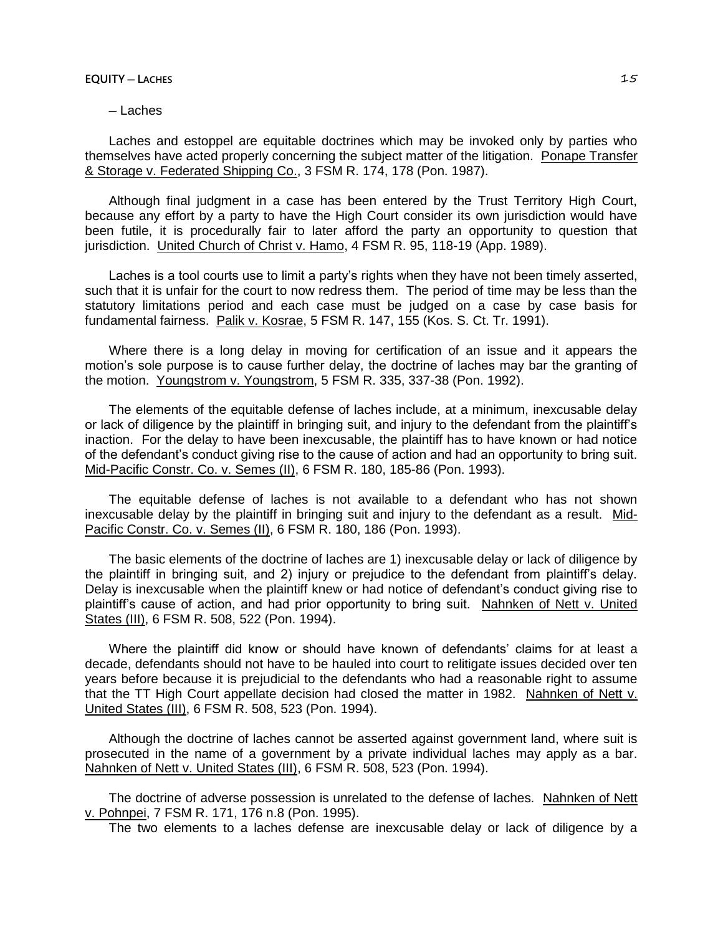### **EQUITY ─ LACHES** 15

# ─ Laches

Laches and estoppel are equitable doctrines which may be invoked only by parties who themselves have acted properly concerning the subject matter of the litigation. Ponape Transfer & Storage v. Federated Shipping Co., 3 FSM R. 174, 178 (Pon. 1987).

Although final judgment in a case has been entered by the Trust Territory High Court, because any effort by a party to have the High Court consider its own jurisdiction would have been futile, it is procedurally fair to later afford the party an opportunity to question that jurisdiction. United Church of Christ v. Hamo, 4 FSM R. 95, 118-19 (App. 1989).

Laches is a tool courts use to limit a party's rights when they have not been timely asserted, such that it is unfair for the court to now redress them. The period of time may be less than the statutory limitations period and each case must be judged on a case by case basis for fundamental fairness. Palik v. Kosrae, 5 FSM R. 147, 155 (Kos. S. Ct. Tr. 1991).

Where there is a long delay in moving for certification of an issue and it appears the motion's sole purpose is to cause further delay, the doctrine of laches may bar the granting of the motion. Youngstrom v. Youngstrom, 5 FSM R. 335, 337-38 (Pon. 1992).

The elements of the equitable defense of laches include, at a minimum, inexcusable delay or lack of diligence by the plaintiff in bringing suit, and injury to the defendant from the plaintiff's inaction. For the delay to have been inexcusable, the plaintiff has to have known or had notice of the defendant's conduct giving rise to the cause of action and had an opportunity to bring suit. Mid-Pacific Constr. Co. v. Semes (II), 6 FSM R. 180, 185-86 (Pon. 1993).

The equitable defense of laches is not available to a defendant who has not shown inexcusable delay by the plaintiff in bringing suit and injury to the defendant as a result. Mid-Pacific Constr. Co. v. Semes (II), 6 FSM R. 180, 186 (Pon. 1993).

The basic elements of the doctrine of laches are 1) inexcusable delay or lack of diligence by the plaintiff in bringing suit, and 2) injury or prejudice to the defendant from plaintiff's delay. Delay is inexcusable when the plaintiff knew or had notice of defendant's conduct giving rise to plaintiff's cause of action, and had prior opportunity to bring suit. Nahnken of Nett v. United States (III), 6 FSM R. 508, 522 (Pon. 1994).

Where the plaintiff did know or should have known of defendants' claims for at least a decade, defendants should not have to be hauled into court to relitigate issues decided over ten years before because it is prejudicial to the defendants who had a reasonable right to assume that the TT High Court appellate decision had closed the matter in 1982. Nahnken of Nett v. United States (III), 6 FSM R. 508, 523 (Pon. 1994).

Although the doctrine of laches cannot be asserted against government land, where suit is prosecuted in the name of a government by a private individual laches may apply as a bar. Nahnken of Nett v. United States (III), 6 FSM R. 508, 523 (Pon. 1994).

The doctrine of adverse possession is unrelated to the defense of laches. Nahnken of Nett v. Pohnpei, 7 FSM R. 171, 176 n.8 (Pon. 1995).

The two elements to a laches defense are inexcusable delay or lack of diligence by a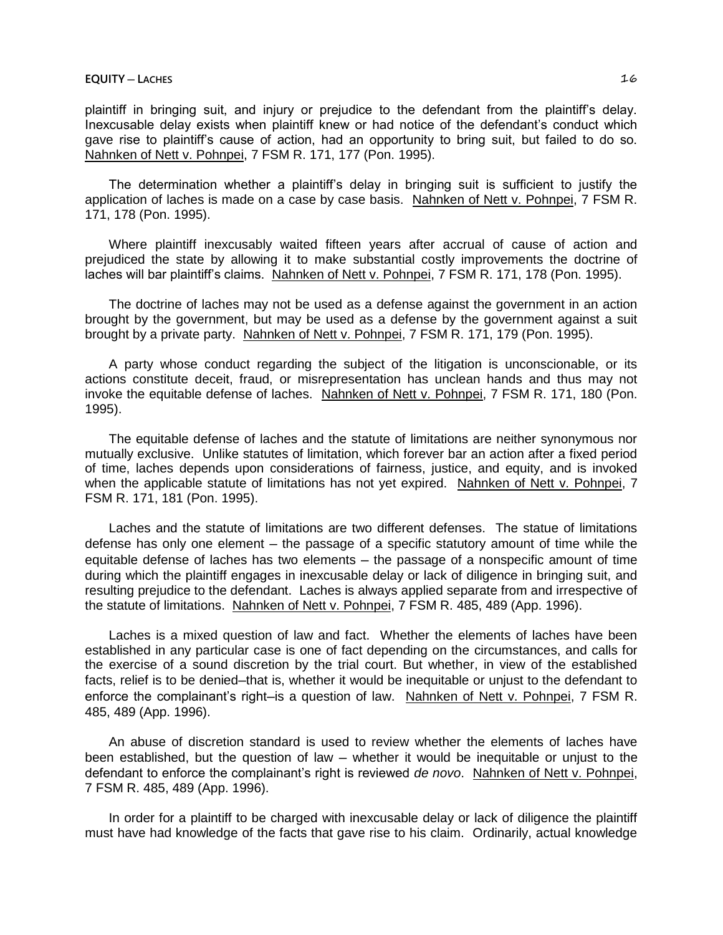plaintiff in bringing suit, and injury or prejudice to the defendant from the plaintiff's delay. Inexcusable delay exists when plaintiff knew or had notice of the defendant's conduct which gave rise to plaintiff's cause of action, had an opportunity to bring suit, but failed to do so. Nahnken of Nett v. Pohnpei, 7 FSM R. 171, 177 (Pon. 1995).

The determination whether a plaintiff's delay in bringing suit is sufficient to justify the application of laches is made on a case by case basis. Nahnken of Nett v. Pohnpei, 7 FSM R. 171, 178 (Pon. 1995).

Where plaintiff inexcusably waited fifteen years after accrual of cause of action and prejudiced the state by allowing it to make substantial costly improvements the doctrine of laches will bar plaintiff's claims. Nahnken of Nett v. Pohnpei, 7 FSM R. 171, 178 (Pon. 1995).

The doctrine of laches may not be used as a defense against the government in an action brought by the government, but may be used as a defense by the government against a suit brought by a private party. Nahnken of Nett v. Pohnpei, 7 FSM R. 171, 179 (Pon. 1995).

A party whose conduct regarding the subject of the litigation is unconscionable, or its actions constitute deceit, fraud, or misrepresentation has unclean hands and thus may not invoke the equitable defense of laches. Nahnken of Nett v. Pohnpei, 7 FSM R. 171, 180 (Pon. 1995).

The equitable defense of laches and the statute of limitations are neither synonymous nor mutually exclusive. Unlike statutes of limitation, which forever bar an action after a fixed period of time, laches depends upon considerations of fairness, justice, and equity, and is invoked when the applicable statute of limitations has not yet expired. Nahnken of Nett v. Pohnpei, 7 FSM R. 171, 181 (Pon. 1995).

Laches and the statute of limitations are two different defenses. The statue of limitations defense has only one element — the passage of a specific statutory amount of time while the equitable defense of laches has two elements - the passage of a nonspecific amount of time during which the plaintiff engages in inexcusable delay or lack of diligence in bringing suit, and resulting prejudice to the defendant. Laches is always applied separate from and irrespective of the statute of limitations. Nahnken of Nett v. Pohnpei, 7 FSM R. 485, 489 (App. 1996).

Laches is a mixed question of law and fact. Whether the elements of laches have been established in any particular case is one of fact depending on the circumstances, and calls for the exercise of a sound discretion by the trial court. But whether, in view of the established facts, relief is to be denied—that is, whether it would be inequitable or unjust to the defendant to enforce the complainant's right-is a question of law. Nahnken of Nett v. Pohnpei, 7 FSM R. 485, 489 (App. 1996).

An abuse of discretion standard is used to review whether the elements of laches have been established, but the question of law – whether it would be inequitable or unjust to the defendant to enforce the complainant's right is reviewed *de novo*. Nahnken of Nett v. Pohnpei, 7 FSM R. 485, 489 (App. 1996).

In order for a plaintiff to be charged with inexcusable delay or lack of diligence the plaintiff must have had knowledge of the facts that gave rise to his claim. Ordinarily, actual knowledge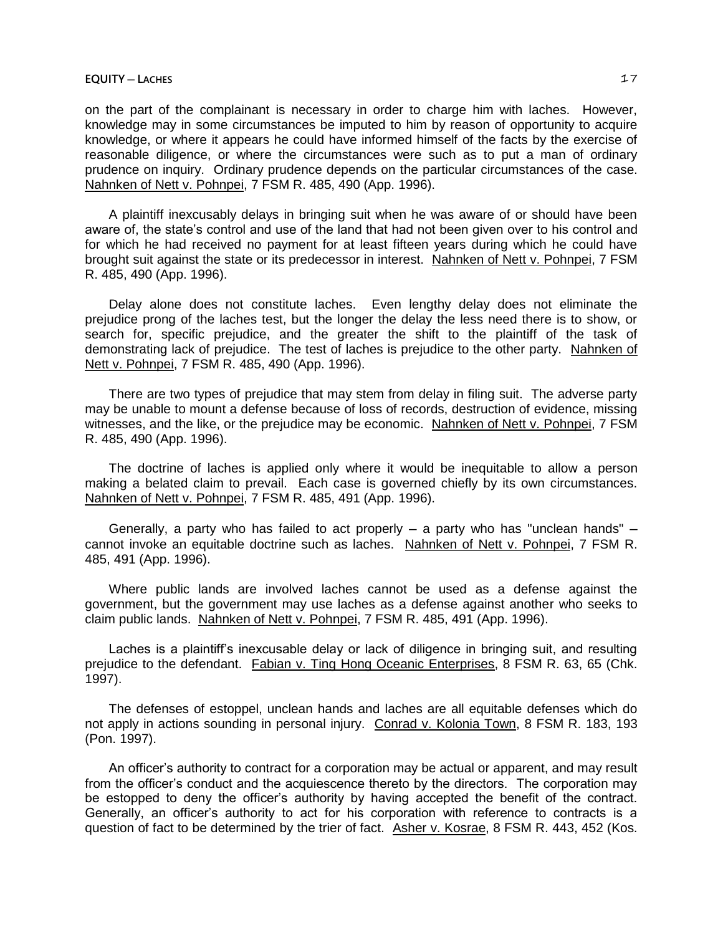#### **EQUITY ─ LACHES** 17

on the part of the complainant is necessary in order to charge him with laches. However, knowledge may in some circumstances be imputed to him by reason of opportunity to acquire knowledge, or where it appears he could have informed himself of the facts by the exercise of reasonable diligence, or where the circumstances were such as to put a man of ordinary prudence on inquiry. Ordinary prudence depends on the particular circumstances of the case. Nahnken of Nett v. Pohnpei, 7 FSM R. 485, 490 (App. 1996).

A plaintiff inexcusably delays in bringing suit when he was aware of or should have been aware of, the state's control and use of the land that had not been given over to his control and for which he had received no payment for at least fifteen years during which he could have brought suit against the state or its predecessor in interest. Nahnken of Nett v. Pohnpei, 7 FSM R. 485, 490 (App. 1996).

Delay alone does not constitute laches. Even lengthy delay does not eliminate the prejudice prong of the laches test, but the longer the delay the less need there is to show, or search for, specific prejudice, and the greater the shift to the plaintiff of the task of demonstrating lack of prejudice. The test of laches is prejudice to the other party. Nahnken of Nett v. Pohnpei, 7 FSM R. 485, 490 (App. 1996).

There are two types of prejudice that may stem from delay in filing suit. The adverse party may be unable to mount a defense because of loss of records, destruction of evidence, missing witnesses, and the like, or the prejudice may be economic. Nahnken of Nett v. Pohnpei, 7 FSM R. 485, 490 (App. 1996).

The doctrine of laches is applied only where it would be inequitable to allow a person making a belated claim to prevail. Each case is governed chiefly by its own circumstances. Nahnken of Nett v. Pohnpei, 7 FSM R. 485, 491 (App. 1996).

Generally, a party who has failed to act properly  $-$  a party who has "unclean hands"  $$ cannot invoke an equitable doctrine such as laches. Nahnken of Nett v. Pohnpei, 7 FSM R. 485, 491 (App. 1996).

Where public lands are involved laches cannot be used as a defense against the government, but the government may use laches as a defense against another who seeks to claim public lands. Nahnken of Nett v. Pohnpei, 7 FSM R. 485, 491 (App. 1996).

Laches is a plaintiff's inexcusable delay or lack of diligence in bringing suit, and resulting prejudice to the defendant. Fabian v. Ting Hong Oceanic Enterprises, 8 FSM R. 63, 65 (Chk. 1997).

The defenses of estoppel, unclean hands and laches are all equitable defenses which do not apply in actions sounding in personal injury. Conrad v. Kolonia Town, 8 FSM R. 183, 193 (Pon. 1997).

An officer's authority to contract for a corporation may be actual or apparent, and may result from the officer's conduct and the acquiescence thereto by the directors. The corporation may be estopped to deny the officer's authority by having accepted the benefit of the contract. Generally, an officer's authority to act for his corporation with reference to contracts is a question of fact to be determined by the trier of fact. Asher v. Kosrae, 8 FSM R. 443, 452 (Kos.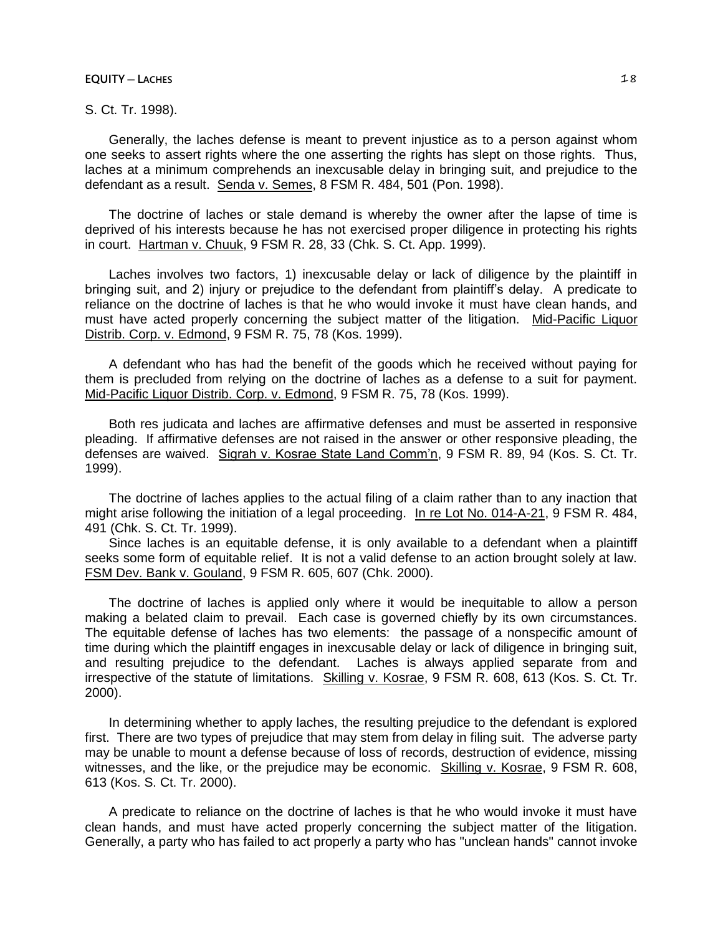#### **EQUITY ─ LACHES** 18

S. Ct. Tr. 1998).

Generally, the laches defense is meant to prevent injustice as to a person against whom one seeks to assert rights where the one asserting the rights has slept on those rights. Thus, laches at a minimum comprehends an inexcusable delay in bringing suit, and prejudice to the defendant as a result. Senda v. Semes, 8 FSM R. 484, 501 (Pon. 1998).

The doctrine of laches or stale demand is whereby the owner after the lapse of time is deprived of his interests because he has not exercised proper diligence in protecting his rights in court. Hartman v. Chuuk, 9 FSM R. 28, 33 (Chk. S. Ct. App. 1999).

Laches involves two factors, 1) inexcusable delay or lack of diligence by the plaintiff in bringing suit, and 2) injury or prejudice to the defendant from plaintiff's delay. A predicate to reliance on the doctrine of laches is that he who would invoke it must have clean hands, and must have acted properly concerning the subject matter of the litigation. Mid-Pacific Liquor Distrib. Corp. v. Edmond, 9 FSM R. 75, 78 (Kos. 1999).

A defendant who has had the benefit of the goods which he received without paying for them is precluded from relying on the doctrine of laches as a defense to a suit for payment. Mid-Pacific Liquor Distrib. Corp. v. Edmond, 9 FSM R. 75, 78 (Kos. 1999).

Both res judicata and laches are affirmative defenses and must be asserted in responsive pleading. If affirmative defenses are not raised in the answer or other responsive pleading, the defenses are waived. Sigrah v. Kosrae State Land Comm'n, 9 FSM R. 89, 94 (Kos. S. Ct. Tr. 1999).

The doctrine of laches applies to the actual filing of a claim rather than to any inaction that might arise following the initiation of a legal proceeding. In re Lot No. 014-A-21, 9 FSM R. 484, 491 (Chk. S. Ct. Tr. 1999).

Since laches is an equitable defense, it is only available to a defendant when a plaintiff seeks some form of equitable relief. It is not a valid defense to an action brought solely at law. FSM Dev. Bank v. Gouland, 9 FSM R. 605, 607 (Chk. 2000).

The doctrine of laches is applied only where it would be inequitable to allow a person making a belated claim to prevail. Each case is governed chiefly by its own circumstances. The equitable defense of laches has two elements: the passage of a nonspecific amount of time during which the plaintiff engages in inexcusable delay or lack of diligence in bringing suit, and resulting prejudice to the defendant. Laches is always applied separate from and irrespective of the statute of limitations. Skilling v. Kosrae, 9 FSM R. 608, 613 (Kos. S. Ct. Tr. 2000).

In determining whether to apply laches, the resulting prejudice to the defendant is explored first. There are two types of prejudice that may stem from delay in filing suit. The adverse party may be unable to mount a defense because of loss of records, destruction of evidence, missing witnesses, and the like, or the prejudice may be economic. Skilling v. Kosrae, 9 FSM R. 608, 613 (Kos. S. Ct. Tr. 2000).

A predicate to reliance on the doctrine of laches is that he who would invoke it must have clean hands, and must have acted properly concerning the subject matter of the litigation. Generally, a party who has failed to act properly a party who has "unclean hands" cannot invoke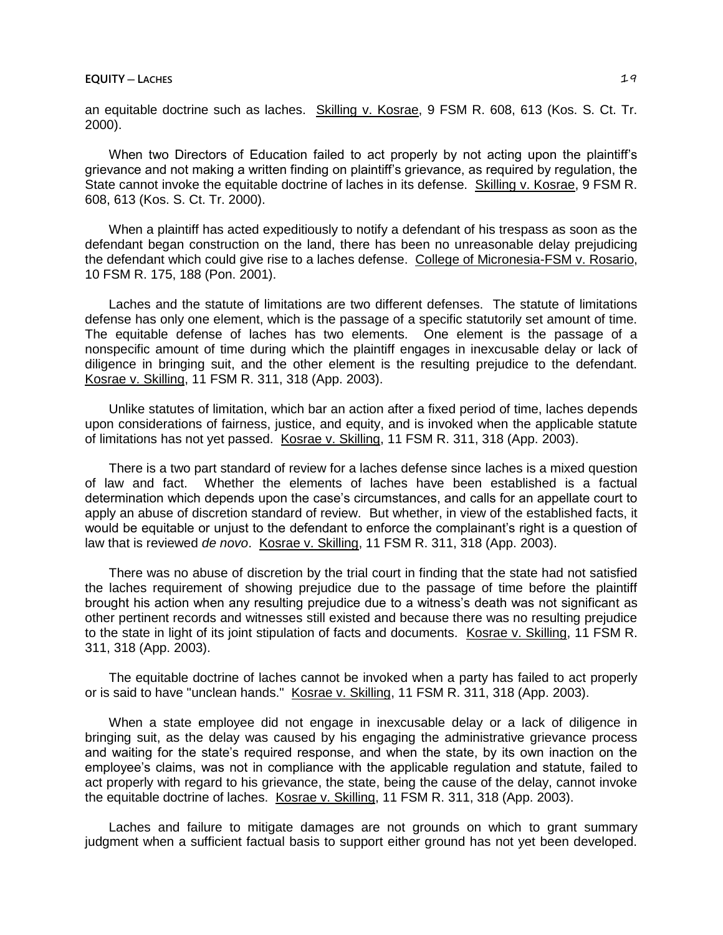an equitable doctrine such as laches. Skilling v. Kosrae, 9 FSM R. 608, 613 (Kos. S. Ct. Tr. 2000).

When two Directors of Education failed to act properly by not acting upon the plaintiff's grievance and not making a written finding on plaintiff's grievance, as required by regulation, the State cannot invoke the equitable doctrine of laches in its defense. Skilling v. Kosrae, 9 FSM R. 608, 613 (Kos. S. Ct. Tr. 2000).

When a plaintiff has acted expeditiously to notify a defendant of his trespass as soon as the defendant began construction on the land, there has been no unreasonable delay prejudicing the defendant which could give rise to a laches defense. College of Micronesia-FSM v. Rosario, 10 FSM R. 175, 188 (Pon. 2001).

Laches and the statute of limitations are two different defenses. The statute of limitations defense has only one element, which is the passage of a specific statutorily set amount of time. The equitable defense of laches has two elements. One element is the passage of a nonspecific amount of time during which the plaintiff engages in inexcusable delay or lack of diligence in bringing suit, and the other element is the resulting prejudice to the defendant. Kosrae v. Skilling, 11 FSM R. 311, 318 (App. 2003).

Unlike statutes of limitation, which bar an action after a fixed period of time, laches depends upon considerations of fairness, justice, and equity, and is invoked when the applicable statute of limitations has not yet passed. Kosrae v. Skilling, 11 FSM R. 311, 318 (App. 2003).

There is a two part standard of review for a laches defense since laches is a mixed question of law and fact. Whether the elements of laches have been established is a factual determination which depends upon the case's circumstances, and calls for an appellate court to apply an abuse of discretion standard of review. But whether, in view of the established facts, it would be equitable or unjust to the defendant to enforce the complainant's right is a question of law that is reviewed *de novo*. Kosrae v. Skilling, 11 FSM R. 311, 318 (App. 2003).

There was no abuse of discretion by the trial court in finding that the state had not satisfied the laches requirement of showing prejudice due to the passage of time before the plaintiff brought his action when any resulting prejudice due to a witness's death was not significant as other pertinent records and witnesses still existed and because there was no resulting prejudice to the state in light of its joint stipulation of facts and documents. Kosrae v. Skilling, 11 FSM R. 311, 318 (App. 2003).

The equitable doctrine of laches cannot be invoked when a party has failed to act properly or is said to have "unclean hands." Kosrae v. Skilling, 11 FSM R. 311, 318 (App. 2003).

When a state employee did not engage in inexcusable delay or a lack of diligence in bringing suit, as the delay was caused by his engaging the administrative grievance process and waiting for the state's required response, and when the state, by its own inaction on the employee's claims, was not in compliance with the applicable regulation and statute, failed to act properly with regard to his grievance, the state, being the cause of the delay, cannot invoke the equitable doctrine of laches. Kosrae v. Skilling, 11 FSM R. 311, 318 (App. 2003).

Laches and failure to mitigate damages are not grounds on which to grant summary judgment when a sufficient factual basis to support either ground has not yet been developed.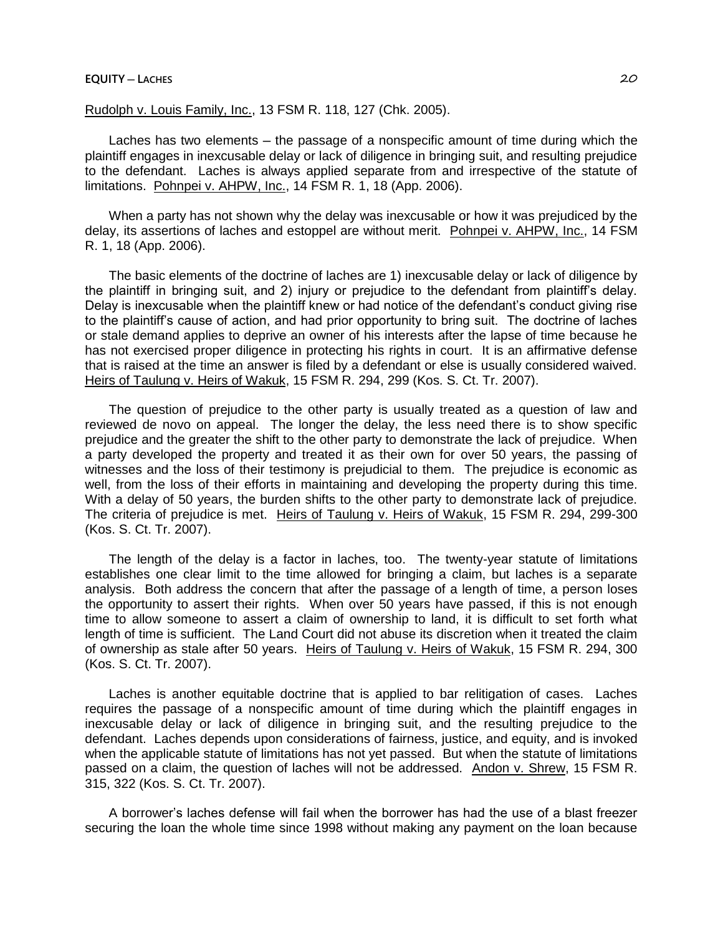# **EQUITY ─ LACHES** 20

Rudolph v. Louis Family, Inc., 13 FSM R. 118, 127 (Chk. 2005).

Laches has two elements – the passage of a nonspecific amount of time during which the plaintiff engages in inexcusable delay or lack of diligence in bringing suit, and resulting prejudice to the defendant. Laches is always applied separate from and irrespective of the statute of limitations. Pohnpei v. AHPW, Inc., 14 FSM R. 1, 18 (App. 2006).

When a party has not shown why the delay was inexcusable or how it was prejudiced by the delay, its assertions of laches and estoppel are without merit. Pohnpei v. AHPW, Inc., 14 FSM R. 1, 18 (App. 2006).

The basic elements of the doctrine of laches are 1) inexcusable delay or lack of diligence by the plaintiff in bringing suit, and 2) injury or prejudice to the defendant from plaintiff's delay. Delay is inexcusable when the plaintiff knew or had notice of the defendant's conduct giving rise to the plaintiff's cause of action, and had prior opportunity to bring suit. The doctrine of laches or stale demand applies to deprive an owner of his interests after the lapse of time because he has not exercised proper diligence in protecting his rights in court. It is an affirmative defense that is raised at the time an answer is filed by a defendant or else is usually considered waived. Heirs of Taulung v. Heirs of Wakuk, 15 FSM R. 294, 299 (Kos. S. Ct. Tr. 2007).

The question of prejudice to the other party is usually treated as a question of law and reviewed de novo on appeal. The longer the delay, the less need there is to show specific prejudice and the greater the shift to the other party to demonstrate the lack of prejudice. When a party developed the property and treated it as their own for over 50 years, the passing of witnesses and the loss of their testimony is prejudicial to them. The prejudice is economic as well, from the loss of their efforts in maintaining and developing the property during this time. With a delay of 50 years, the burden shifts to the other party to demonstrate lack of prejudice. The criteria of prejudice is met. Heirs of Taulung v. Heirs of Wakuk, 15 FSM R. 294, 299-300 (Kos. S. Ct. Tr. 2007).

The length of the delay is a factor in laches, too. The twenty-year statute of limitations establishes one clear limit to the time allowed for bringing a claim, but laches is a separate analysis. Both address the concern that after the passage of a length of time, a person loses the opportunity to assert their rights. When over 50 years have passed, if this is not enough time to allow someone to assert a claim of ownership to land, it is difficult to set forth what length of time is sufficient. The Land Court did not abuse its discretion when it treated the claim of ownership as stale after 50 years. Heirs of Taulung v. Heirs of Wakuk, 15 FSM R. 294, 300 (Kos. S. Ct. Tr. 2007).

Laches is another equitable doctrine that is applied to bar relitigation of cases. Laches requires the passage of a nonspecific amount of time during which the plaintiff engages in inexcusable delay or lack of diligence in bringing suit, and the resulting prejudice to the defendant. Laches depends upon considerations of fairness, justice, and equity, and is invoked when the applicable statute of limitations has not yet passed. But when the statute of limitations passed on a claim, the question of laches will not be addressed. Andon v. Shrew, 15 FSM R. 315, 322 (Kos. S. Ct. Tr. 2007).

A borrower's laches defense will fail when the borrower has had the use of a blast freezer securing the loan the whole time since 1998 without making any payment on the loan because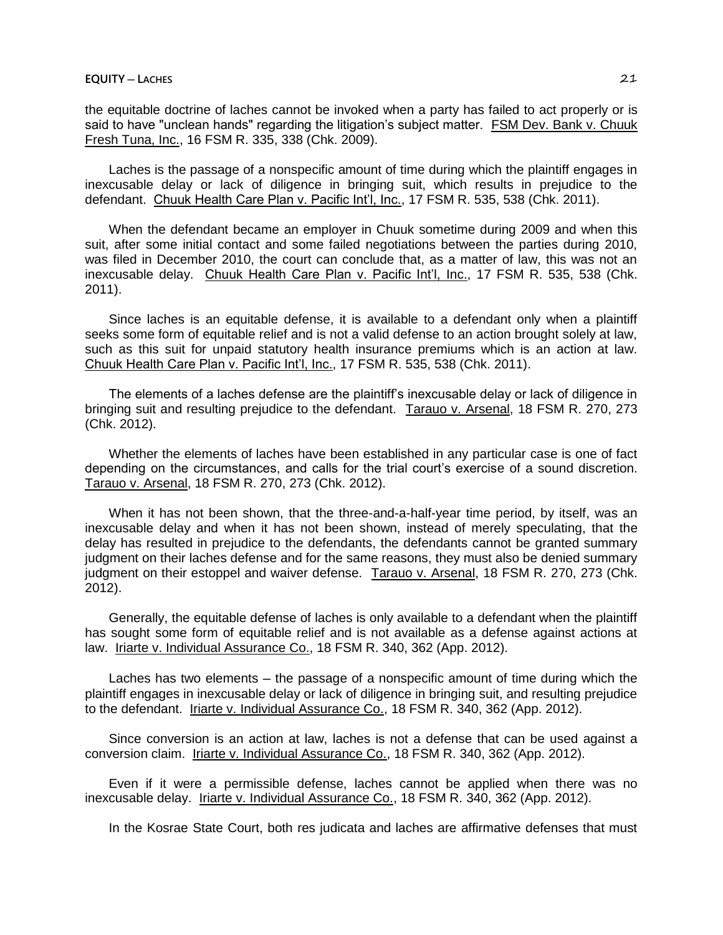the equitable doctrine of laches cannot be invoked when a party has failed to act properly or is said to have "unclean hands" regarding the litigation's subject matter. FSM Dev. Bank v. Chuuk Fresh Tuna, Inc., 16 FSM R. 335, 338 (Chk. 2009).

Laches is the passage of a nonspecific amount of time during which the plaintiff engages in inexcusable delay or lack of diligence in bringing suit, which results in prejudice to the defendant. Chuuk Health Care Plan v. Pacific Int'l, Inc., 17 FSM R. 535, 538 (Chk. 2011).

When the defendant became an employer in Chuuk sometime during 2009 and when this suit, after some initial contact and some failed negotiations between the parties during 2010, was filed in December 2010, the court can conclude that, as a matter of law, this was not an inexcusable delay. Chuuk Health Care Plan v. Pacific Int'l, Inc., 17 FSM R. 535, 538 (Chk. 2011).

Since laches is an equitable defense, it is available to a defendant only when a plaintiff seeks some form of equitable relief and is not a valid defense to an action brought solely at law, such as this suit for unpaid statutory health insurance premiums which is an action at law. Chuuk Health Care Plan v. Pacific Int'l, Inc., 17 FSM R. 535, 538 (Chk. 2011).

The elements of a laches defense are the plaintiff's inexcusable delay or lack of diligence in bringing suit and resulting prejudice to the defendant. Tarauo v. Arsenal, 18 FSM R. 270, 273 (Chk. 2012).

Whether the elements of laches have been established in any particular case is one of fact depending on the circumstances, and calls for the trial court's exercise of a sound discretion. Tarauo v. Arsenal, 18 FSM R. 270, 273 (Chk. 2012).

When it has not been shown, that the three-and-a-half-year time period, by itself, was an inexcusable delay and when it has not been shown, instead of merely speculating, that the delay has resulted in prejudice to the defendants, the defendants cannot be granted summary judgment on their laches defense and for the same reasons, they must also be denied summary judgment on their estoppel and waiver defense. Tarauo v. Arsenal, 18 FSM R. 270, 273 (Chk. 2012).

Generally, the equitable defense of laches is only available to a defendant when the plaintiff has sought some form of equitable relief and is not available as a defense against actions at law. Iriarte v. Individual Assurance Co., 18 FSM R. 340, 362 (App. 2012).

Laches has two elements – the passage of a nonspecific amount of time during which the plaintiff engages in inexcusable delay or lack of diligence in bringing suit, and resulting prejudice to the defendant. Iriarte v. Individual Assurance Co., 18 FSM R. 340, 362 (App. 2012).

Since conversion is an action at law, laches is not a defense that can be used against a conversion claim. Iriarte v. Individual Assurance Co., 18 FSM R. 340, 362 (App. 2012).

Even if it were a permissible defense, laches cannot be applied when there was no inexcusable delay. Iriarte v. Individual Assurance Co., 18 FSM R. 340, 362 (App. 2012).

In the Kosrae State Court, both res judicata and laches are affirmative defenses that must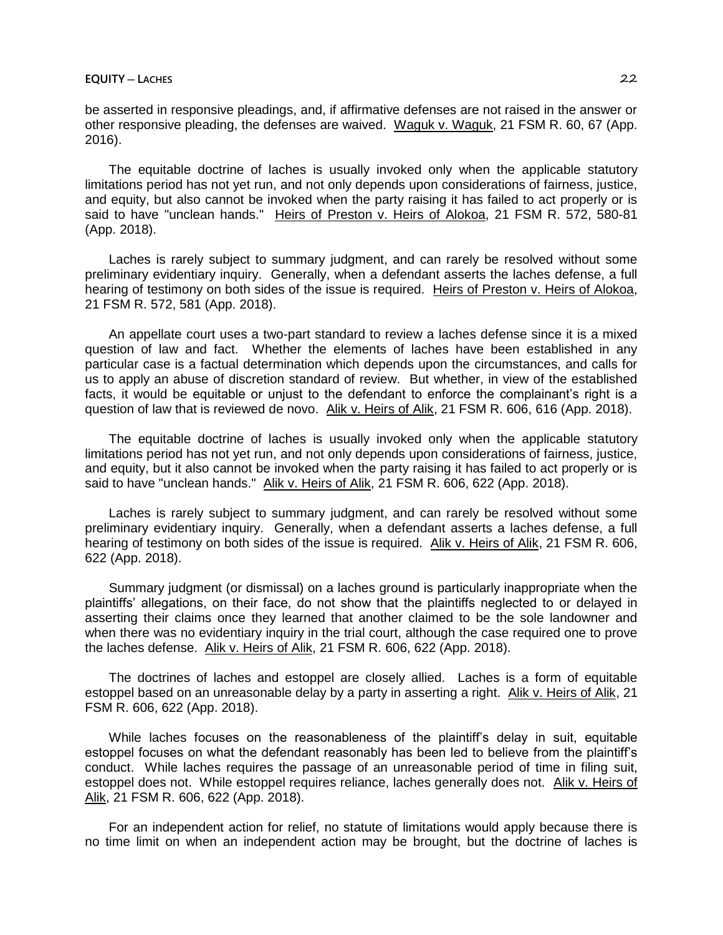be asserted in responsive pleadings, and, if affirmative defenses are not raised in the answer or other responsive pleading, the defenses are waived. Waguk v. Waguk, 21 FSM R. 60, 67 (App. 2016).

The equitable doctrine of laches is usually invoked only when the applicable statutory limitations period has not yet run, and not only depends upon considerations of fairness, justice, and equity, but also cannot be invoked when the party raising it has failed to act properly or is said to have "unclean hands." Heirs of Preston v. Heirs of Alokoa, 21 FSM R. 572, 580-81 (App. 2018).

Laches is rarely subject to summary judgment, and can rarely be resolved without some preliminary evidentiary inquiry. Generally, when a defendant asserts the laches defense, a full hearing of testimony on both sides of the issue is required. Heirs of Preston v. Heirs of Alokoa, 21 FSM R. 572, 581 (App. 2018).

An appellate court uses a two-part standard to review a laches defense since it is a mixed question of law and fact. Whether the elements of laches have been established in any particular case is a factual determination which depends upon the circumstances, and calls for us to apply an abuse of discretion standard of review. But whether, in view of the established facts, it would be equitable or unjust to the defendant to enforce the complainant's right is a question of law that is reviewed de novo. Alik v. Heirs of Alik, 21 FSM R. 606, 616 (App. 2018).

The equitable doctrine of laches is usually invoked only when the applicable statutory limitations period has not yet run, and not only depends upon considerations of fairness, justice, and equity, but it also cannot be invoked when the party raising it has failed to act properly or is said to have "unclean hands." Alik v. Heirs of Alik, 21 FSM R. 606, 622 (App. 2018).

Laches is rarely subject to summary judgment, and can rarely be resolved without some preliminary evidentiary inquiry. Generally, when a defendant asserts a laches defense, a full hearing of testimony on both sides of the issue is required. Alik v. Heirs of Alik, 21 FSM R. 606, 622 (App. 2018).

Summary judgment (or dismissal) on a laches ground is particularly inappropriate when the plaintiffs' allegations, on their face, do not show that the plaintiffs neglected to or delayed in asserting their claims once they learned that another claimed to be the sole landowner and when there was no evidentiary inquiry in the trial court, although the case required one to prove the laches defense. Alik v. Heirs of Alik, 21 FSM R. 606, 622 (App. 2018).

The doctrines of laches and estoppel are closely allied. Laches is a form of equitable estoppel based on an unreasonable delay by a party in asserting a right. Alik v. Heirs of Alik, 21 FSM R. 606, 622 (App. 2018).

While laches focuses on the reasonableness of the plaintiff's delay in suit, equitable estoppel focuses on what the defendant reasonably has been led to believe from the plaintiff's conduct. While laches requires the passage of an unreasonable period of time in filing suit, estoppel does not. While estoppel requires reliance, laches generally does not. Alik v. Heirs of Alik, 21 FSM R. 606, 622 (App. 2018).

For an independent action for relief, no statute of limitations would apply because there is no time limit on when an independent action may be brought, but the doctrine of laches is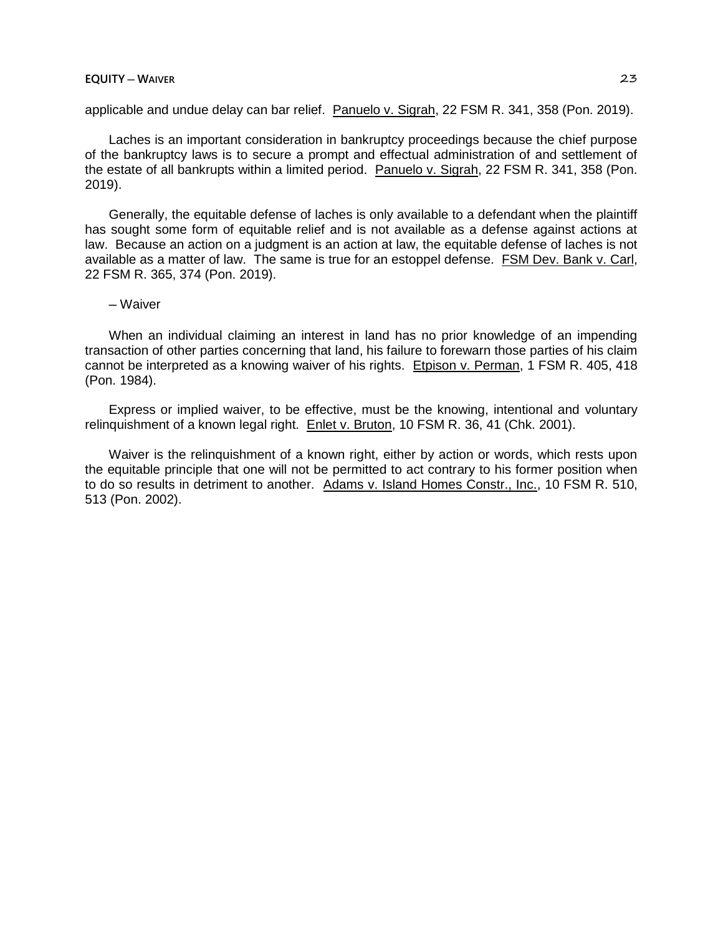### **EQUITY ─ WAIVER** 23

applicable and undue delay can bar relief. Panuelo v. Sigrah, 22 FSM R. 341, 358 (Pon. 2019).

Laches is an important consideration in bankruptcy proceedings because the chief purpose of the bankruptcy laws is to secure a prompt and effectual administration of and settlement of the estate of all bankrupts within a limited period. Panuelo v. Sigrah, 22 FSM R. 341, 358 (Pon. 2019).

Generally, the equitable defense of laches is only available to a defendant when the plaintiff has sought some form of equitable relief and is not available as a defense against actions at law. Because an action on a judgment is an action at law, the equitable defense of laches is not available as a matter of law. The same is true for an estoppel defense. FSM Dev. Bank v. Carl, 22 FSM R. 365, 374 (Pon. 2019).

# ─ Waiver

When an individual claiming an interest in land has no prior knowledge of an impending transaction of other parties concerning that land, his failure to forewarn those parties of his claim cannot be interpreted as a knowing waiver of his rights. Etpison v. Perman, 1 FSM R. 405, 418 (Pon. 1984).

Express or implied waiver, to be effective, must be the knowing, intentional and voluntary relinquishment of a known legal right. Enlet v. Bruton, 10 FSM R. 36, 41 (Chk. 2001).

Waiver is the relinquishment of a known right, either by action or words, which rests upon the equitable principle that one will not be permitted to act contrary to his former position when to do so results in detriment to another. Adams v. Island Homes Constr., Inc., 10 FSM R. 510, 513 (Pon. 2002).